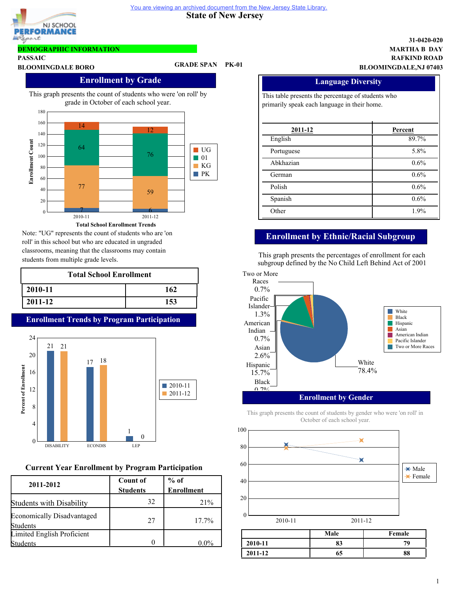



# **DEMOGRAPHIC INFORMATION**

**PASSAIC**

# **BLOOMINGDALE BORO GRADE SPAN PK-01**

# **Enrollment by Grade**

This graph presents the count of students who were 'on roll' by grade in October of each school year.



Note: "UG" represents the count of students who are 'on roll' in this school but who are educated in ungraded classrooms, meaning that the classrooms may contain students from multiple grade levels.

| <b>Total School Enrollment</b> |     |  |
|--------------------------------|-----|--|
| 2010-11                        | 162 |  |
| 2011-12                        | 153 |  |

# **Enrollment Trends by Program Participation**



# **Current Year Enrollment by Program Participation**

| 2011-2012                                     | <b>Count of</b><br><b>Students</b> | $%$ of<br><b>Enrollment</b> |
|-----------------------------------------------|------------------------------------|-----------------------------|
| Students with Disability                      | 32                                 | 21%                         |
| <b>Economically Disadvantaged</b><br>Students | 27                                 | $17.7\%$                    |
| Limited English Proficient<br>udents          |                                    | በ በ%                        |

### **RAFKIND ROAD MARTHA B DAY 31-0420-020 BLOOMINGDALE,NJ 07403**

| <b>Language Diversity</b><br>This table presents the percentage of students who<br>primarily speak each language in their home. |         |
|---------------------------------------------------------------------------------------------------------------------------------|---------|
|                                                                                                                                 |         |
| English                                                                                                                         | 89.7%   |
| Portuguese                                                                                                                      | 5.8%    |
| Abkhazian                                                                                                                       | $0.6\%$ |
| German                                                                                                                          | 0.6%    |
| Polish                                                                                                                          | 0.6%    |
| Spanish                                                                                                                         | 0.6%    |
| Other                                                                                                                           | 1.9%    |

# **Enrollment by Ethnic/Racial Subgroup**

This graph presents the percentages of enrollment for each subgroup defined by the No Child Left Behind Act of 2001



## **Enrollment by Gender**

This graph presents the count of students by gender who were 'on roll' in October of each school year.

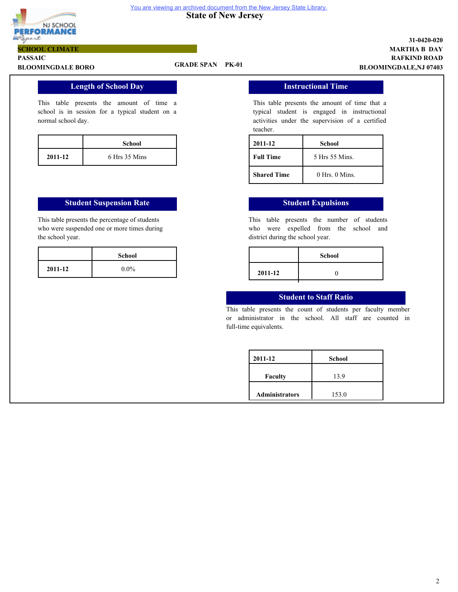

#### **State of New Jersey** You are viewing an archived document from the New Jersey State Library.

**PASSAIC SCHOOL CLIMATE**

# **BLOOMINGDALE BORO GRADE SPAN PK-01**

# **RAFKIND ROAD MARTHA B DAY 31-0420-020 BLOOMINGDALE,NJ 07403**

# **Length of School Day**

This table presents the amount of time a school is in session for a typical student on a normal school day.

|         | School        |
|---------|---------------|
| 2011-12 | 6 Hrs 35 Mins |

## **Student Suspension Rate Student Expulsions**

This table presents the percentage of students who were suspended one or more times during the school year.

# **Instructional Time**

This table presents the amount of time that a typical student is engaged in instructional activities under the supervision of a certified teacher.

| 2011-12            | School             |
|--------------------|--------------------|
| <b>Full Time</b>   | 5 Hrs 55 Mins.     |
| <b>Shared Time</b> | $0$ Hrs. $0$ Mins. |

This table presents the number of students who were expelled from the school and district during the school year.

| $0.0\%$ |         |  |
|---------|---------|--|
|         | 2011-12 |  |

# **Student to Staff Ratio**

This table presents the count of students per faculty member or administrator in the school. All staff are counted in full-time equivalents.

| 2011-12               | <b>School</b> |
|-----------------------|---------------|
| <b>Faculty</b>        | 13.9          |
| <b>Administrators</b> | 153.0         |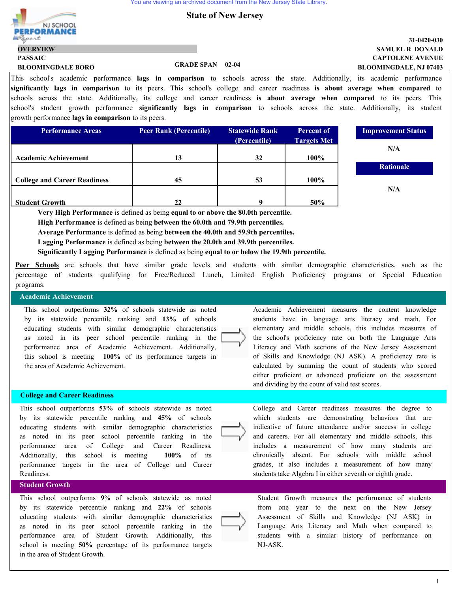

**PASSAIC**

**OVERVIEW**

# **State of New Jersey**

## **CAPTOLENE AVENUE SAMUEL R DONALD 31-0420-030 BLOOMINGDALE, NJ 07403**

1

This school's academic performance **lags in comparison** to schools across the state. Additionally, its academic performance **significantly lags in comparison** to its peers. This school's college and career readiness **is about average when compared** to schools across the state. Additionally, its college and career readiness **is about average when compared** to its peers. This school's student growth performance **significantly lags in comparison** to schools across the state. Additionally, its student growth performance **lags in comparison** to its peers.

| <b>Performance Areas</b>            | <b>Peer Rank (Percentile)</b> | <b>Statewide Rank</b> | Percent of         |
|-------------------------------------|-------------------------------|-----------------------|--------------------|
|                                     |                               | (Percentile)          | <b>Targets Met</b> |
|                                     |                               |                       |                    |
| <b>Academic Achievement</b>         | 13                            | 32                    | 100%               |
|                                     |                               |                       |                    |
| <b>College and Career Readiness</b> | 45                            | 53                    | 100%               |
|                                     |                               |                       |                    |
| <b>Student Growth</b>               |                               |                       | 50%                |



**Very High Performance** is defined as being **equal to or above the 80.0th percentile.**

**High Performance** is defined as being **between the 60.0th and 79.9th percentiles.**

**Average Performance** is defined as being **between the 40.0th and 59.9th percentiles.**

**Lagging Performance** is defined as being **between the 20.0th and 39.9th percentiles.**

**Significantly Lagging Performance** is defined as being **equal to or below the 19.9th percentile.**

**Peer Schools** are schools that have similar grade levels and students with similar demographic characteristics, such as the percentage of students qualifying for Free/Reduced Lunch, Limited English Proficiency programs or Special Education programs.

## **Academic Achievement**

This school outperforms **32%** of schools statewide as noted by its statewide percentile ranking and **13%** of schools educating students with similar demographic characteristics as noted in its peer school percentile ranking in the performance area of Academic Achievement. Additionally, this school is meeting **100%** of its performance targets in the area of Academic Achievement.

**BLOOMINGDALE BORO GRADE SPAN 02-04**

#### **College and Career Readiness**

This school outperforms **53%** of schools statewide as noted by its statewide percentile ranking and **45%** of schools educating students with similar demographic characteristics as noted in its peer school percentile ranking in the performance area of College and Career Readiness. Additionally, this school is meeting **100%** of its performance targets in the area of College and Career Readiness.

## **Student Growth**

This school outperforms **9**% of schools statewide as noted by its statewide percentile ranking and **22%** of schools educating students with similar demographic characteristics as noted in its peer school percentile ranking in the performance area of Student Growth. Additionally, this school is meeting **50%** percentage of its performance targets in the area of Student Growth.

Academic Achievement measures the content knowledge students have in language arts literacy and math. For elementary and middle schools, this includes measures of the school's proficiency rate on both the Language Arts Literacy and Math sections of the New Jersey Assessment of Skills and Knowledge (NJ ASK). A proficiency rate is calculated by summing the count of students who scored either proficient or advanced proficient on the assessment and dividing by the count of valid test scores.



College and Career readiness measures the degree to which students are demonstrating behaviors that are indicative of future attendance and/or success in college and careers. For all elementary and middle schools, this includes a measurement of how many students are chronically absent. For schools with middle school grades, it also includes a measurement of how many students take Algebra I in either seventh or eighth grade.



Student Growth measures the performance of students from one year to the next on the New Jersey Assessment of Skills and Knowledge (NJ ASK) in Language Arts Literacy and Math when compared to students with a similar history of performance on NJ-ASK.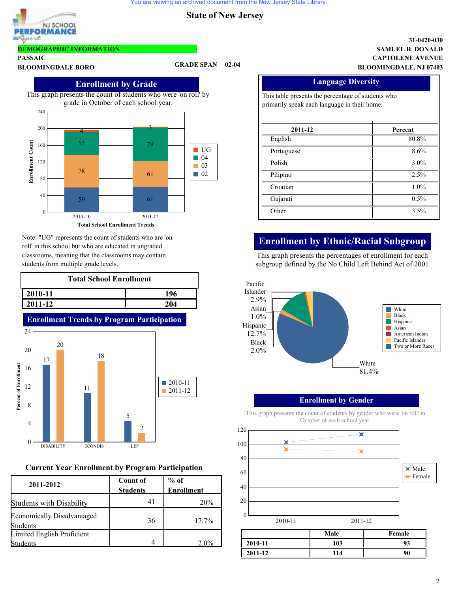

# **DEMOGRAPHIC INFORMATION**

**PASSAIC**

# **BLOOMINGDALE BORO GRADE SPAN 02-04**



Note: "UG" represents the count of students who are 'on roll' in this school but who are educated in ungraded classrooms, meaning that the classrooms may contain students from multiple grade levels.

| <b>Total School Enrollment</b> |     |  |  |
|--------------------------------|-----|--|--|
| $ 2010-11$                     | 196 |  |  |
| 2011-12                        | 204 |  |  |



# **Current Year Enrollment by Program Participation**

| 2011-2012                                     | <b>Count of</b><br><b>Students</b> | $%$ of<br><b>Enrollment</b> |
|-----------------------------------------------|------------------------------------|-----------------------------|
| <b>Students with Disability</b>               | 41                                 | 20%                         |
| Economically Disadvantaged<br><b>Students</b> | 36                                 | $17.7\%$                    |
| Limited English Proficient<br>Students        |                                    | $2.0\%$                     |

### **CAPTOLENE AVENUE SAMUEL R DONALD 31-0420-030 BLOOMINGDALE, NJ 07403**

| <b>Language Diversity</b>                          |         |  |
|----------------------------------------------------|---------|--|
| This table presents the percentage of students who |         |  |
| primarily speak each language in their home.       |         |  |
|                                                    |         |  |
| 2011-12                                            | Percent |  |
| English                                            | 80.8%   |  |
| Portuguese                                         | 8.6%    |  |
| Polish                                             | $3.0\%$ |  |
| Pilipino                                           | 2.5%    |  |
| Croatian                                           | 1.0%    |  |
| Gujarati                                           | 0.5%    |  |
| Other                                              | 3.5%    |  |

# **Enrollment by Ethnic/Racial Subgroup**

This graph presents the percentages of enrollment for each subgroup defined by the No Child Left Behind Act of 2001



# **Enrollment by Gender**

This graph presents the count of students by gender who were 'on roll' in October of each school year.

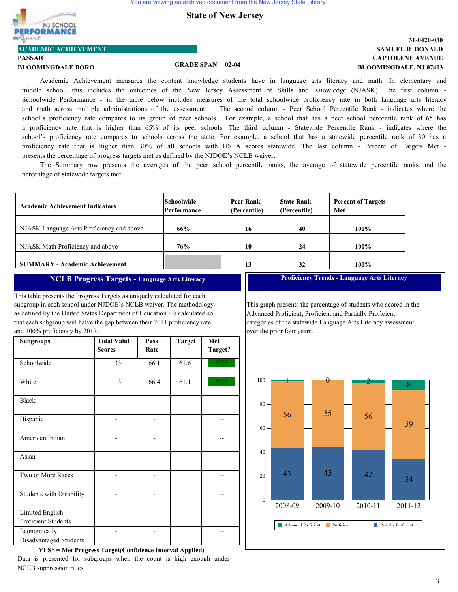

**ACADEMIC ACHIEVEMENT**

# **PASSAIC**

**BLOOMINGDALE BORO GRADE SPAN 02-04**

# **CAPTOLENE AVENUE SAMUEL R DONALD 31-0420-030 BLOOMINGDALE, NJ 07403**

Academic Achievement measures the content knowledge students have in language arts literacy and math. In elementary and middle school, this includes the outcomes of the New Jersey Assessment of Skills and Knowledge (NJASK). The first column - Schoolwide Performance - in the table below includes measures of the total schoolwide proficiency rate in both language arts literacy and math across multiple administrations of the assessment . The second column - Peer School Percentile Rank - indicates where the school's proficiency rate compares to its group of peer schools. For example, a school that has a peer school percentile rank of 65 has a proficiency rate that is higher than 65% of its peer schools. The third column - Statewide Percentile Rank - indicates where the school's proficiency rate compares to schools across the state. For example, a school that has a statewide percentile rank of 30 has a proficiency rate that is higher than 30% of all schools with HSPA scores statewide. The last column - Percent of Targets Met presents the percentage of progress targets met as defined by the NJDOE's NCLB waiver.

The Summary row presents the averages of the peer school percentile ranks, the average of statewide percentile ranks and the percentage of statewide targets met.

| <b>Academic Achievement Indicators</b>    | <b>Schoolwide</b><br><b>Performance</b> | Peer Rank<br>(Percentile) | <b>State Rank</b><br>(Percentile) | <b>Percent of Targets</b><br>Met |
|-------------------------------------------|-----------------------------------------|---------------------------|-----------------------------------|----------------------------------|
| NJASK Language Arts Proficiency and above | 66%                                     | 16                        | 40                                | 100%                             |
| NJASK Math Proficiency and above          | 76%                                     | 10                        | 24                                | $100\%$                          |
| <b>SUMMARY - Academic Achievement</b>     |                                         | 13                        | 32                                | 100%                             |

### **NCLB Progress Targets - Language Arts Literacy**

This table presents the Progress Targets as uniquely calculated for each subgroup in each school under NJDOE's NCLB waiver. The methodology as defined by the United States Department of Education - is calculated so that each subgroup will halve the gap between their 2011 proficiency rate and 100% proficiency by 2017.

| <b>Subgroups</b>                       | <b>Total Valid</b><br><b>Scores</b> | Pass<br>Rate | <b>Target</b> | Met<br>Target? |
|----------------------------------------|-------------------------------------|--------------|---------------|----------------|
| Schoolwide                             | 133                                 | 66.1         | 61.6          | <b>YES</b>     |
| White                                  | 113                                 | 66.4         | 61.1          | <b>YES</b>     |
| <b>Black</b>                           |                                     |              |               |                |
| Hispanic                               |                                     |              |               |                |
| American Indian                        |                                     |              |               |                |
| Asian                                  |                                     |              |               |                |
| Two or More Races                      |                                     |              |               |                |
| <b>Students with Disability</b>        |                                     |              |               |                |
| Limited English<br>Proficient Students |                                     |              |               |                |
| Economically<br>Disadvantaged Students |                                     |              |               |                |

**YES\* = Met Progress Target(Confidence Interval Applied)** Data is presented for subgroups when the count is high enough under NCLB suppression rules.

**Proficiency Trends - Language Arts Literacy**

This graph presents the percentage of students who scored in the Advanced Proficient, Proficient and Partially Proficient categories of the statewide Language Arts Literacy assessment over the prior four years.

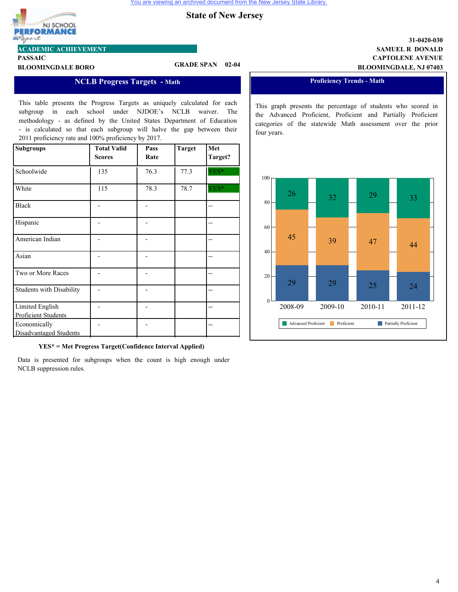

**ACADEMIC ACHIEVEMENT**

# **PASSAIC**

**BLOOMINGDALE BORO GRADE SPAN 02-04**

# **NCLB Progress Targets - Math**

This table presents the Progress Targets as uniquely calculated for each subgroup in each school under NJDOE's NCLB waiver. The methodology - as defined by the United States Department of Education - is calculated so that each subgroup will halve the gap between their 2011 proficiency rate and 100% proficiency by 2017.

| <b>Subgroups</b>                       | <b>Total Valid</b><br><b>Scores</b> | Pass<br>Rate | <b>Target</b> | Met<br>Target? |
|----------------------------------------|-------------------------------------|--------------|---------------|----------------|
| Schoolwide                             | 135                                 | 76.3         | 77.3          | YES*           |
| White                                  | 115                                 | 78.3         | 78.7          | YES*           |
| <b>Black</b>                           |                                     |              |               |                |
| Hispanic                               |                                     |              |               |                |
| American Indian                        |                                     |              |               |                |
| Asian                                  |                                     |              |               |                |
| Two or More Races                      |                                     |              |               |                |
| <b>Students with Disability</b>        |                                     |              |               |                |
| Limited English<br>Proficient Students |                                     |              |               |                |
| Economically<br>Disadvantaged Students |                                     |              |               |                |

**YES\* = Met Progress Target(Confidence Interval Applied)**

Data is presented for subgroups when the count is high enough under NCLB suppression rules.

## **CAPTOLENE AVENUE SAMUEL R DONALD 31-0420-030 BLOOMINGDALE, NJ 07403**

# **Proficiency Trends - Math**

This graph presents the percentage of students who scored in the Advanced Proficient, Proficient and Partially Proficient categories of the statewide Math assessment over the prior four years.

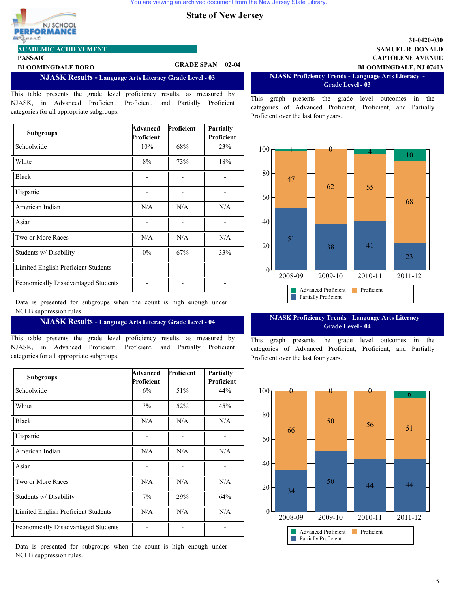

**PASSAIC**

### **ACADEMIC ACHIEVEMENT**

# **BLOOMINGDALE BORO GRADE SPAN 02-04**

**NJASK Results - Language Arts Literacy Grade Level - 03**

This table presents the grade level proficiency results, as measured by NJASK, in Advanced Proficient, Proficient, and Partially Proficient categories for all appropriate subgroups.

| <b>Subgroups</b>                           | Advanced<br>Proficient | Proficient | Partially<br>Proficient |
|--------------------------------------------|------------------------|------------|-------------------------|
| Schoolwide                                 | 10%                    | 68%        | 23%                     |
| White                                      | 8%                     | 73%        | 18%                     |
| <b>Black</b>                               |                        |            |                         |
| Hispanic                                   |                        |            |                         |
| American Indian                            | N/A                    | N/A        | N/A                     |
| Asian                                      |                        |            |                         |
| Two or More Races                          | N/A                    | N/A        | N/A                     |
| Students w/ Disability                     | $0\%$                  | 67%        | 33%                     |
| Limited English Proficient Students        |                        |            |                         |
| <b>Economically Disadvantaged Students</b> |                        |            |                         |

Data is presented for subgroups when the count is high enough under NCLB suppression rules.

#### **NJASK Results - Language Arts Literacy Grade Level - 04**

This table presents the grade level proficiency results, as measured by NJASK, in Advanced Proficient, Proficient, and Partially Proficient categories for all appropriate subgroups.

| <b>Subgroups</b>                           | Advanced         | Proficient | <b>Partially</b>  |
|--------------------------------------------|------------------|------------|-------------------|
| Schoolwide                                 | Proficient<br>6% | 51%        | Proficient<br>44% |
| White                                      | 3%               | 52%        | 45%               |
| <b>Black</b>                               | N/A              | N/A        | N/A               |
| Hispanic                                   |                  |            |                   |
| American Indian                            | N/A              | N/A        | N/A               |
| Asian                                      |                  |            |                   |
| Two or More Races                          | N/A              | N/A        | N/A               |
| Students w/Disability                      | $7\%$            | 29%        | 64%               |
| Limited English Proficient Students        | N/A              | N/A        | N/A               |
| <b>Economically Disadvantaged Students</b> |                  |            |                   |

Data is presented for subgroups when the count is high enough under NCLB suppression rules.

**CAPTOLENE AVENUE SAMUEL R DONALD BLOOMINGDALE, NJ 07403**

**31-0420-030**

**NJASK Proficiency Trends - Language Arts Literacy - Grade Level - 03**

This graph presents the grade level outcomes in the categories of Advanced Proficient, Proficient, and Partially Proficient over the last four years.



#### **NJASK Proficiency Trends - Language Arts Literacy - Grade Level - 04**

This graph presents the grade level outcomes in the categories of Advanced Proficient, Proficient, and Partially Proficient over the last four years.



# 5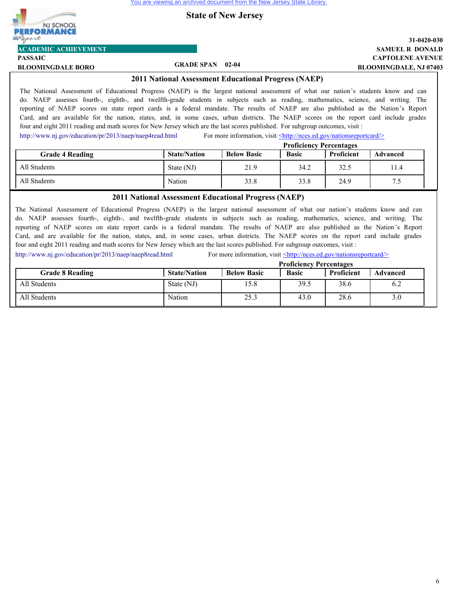# NJ SCHOOL **EORMANC** port

# **ACADEMIC ACHIEVEMENT**

**PASSAIC**

**BLOOMINGDALE BORO GRADE SPAN 02-04**

# **CAPTOLENE AVENUE SAMUEL R DONALD 31-0420-030 BLOOMINGDALE, NJ 07403**

## **2011 National Assessment Educational Progress (NAEP)**

The National Assessment of Educational Progress (NAEP) is the largest national assessment of what our nation's students know and can do. NAEP assesses fourth-, eighth-, and twelfth-grade students in subjects such as reading, mathematics, science, and writing. The reporting of NAEP scores on state report cards is a federal mandate. The results of NAEP are also published as the Nation's Report Card, and are available for the nation, states, and, in some cases, urban districts. The NAEP scores on the report card include grades four and eight 2011 reading and math scores for New Jersey which are the last scores published. For subgroup outcomes, visit :

<http://www.nj.gov/education/pr/2013/naep/naep4read.html> For more information, visit  $\leq$ http://nces.ed.gov/nationsreportcard/>

|                        |                     | <b>Proficiency Percentages</b> |              |            |          |
|------------------------|---------------------|--------------------------------|--------------|------------|----------|
| <b>Grade 4 Reading</b> | <b>State/Nation</b> | <b>Below Basic</b>             | <b>Basic</b> | Proficient | Advanced |
| All Students           | State (NJ)          | 21.9                           | 34.2         | 32.5       | 11.4     |
| All Students           | Nation              | 33.8                           | 33.8         | 24.9       | د. ا     |

# **2011 National Assessment Educational Progress (NAEP)**

The National Assessment of Educational Progress (NAEP) is the largest national assessment of what our nation's students know and can do. NAEP assesses fourth-, eighth-, and twelfth-grade students in subjects such as reading, mathematics, science, and writing. The reporting of NAEP scores on state report cards is a federal mandate. The results of NAEP are also published as the Nation's Report Card, and are available for the nation, states, and, in some cases, urban districts. The NAEP scores on the report card include grades four and eight 2011 reading and math scores for New Jersey which are the last scores published. For subgroup outcomes, visit :

<http://www.nj.gov/education/pr/2013/naep/naep8read.html> For more information, visit <http://nces.ed.gov/nationsreportcard/>

|                        | <b>Proficiency Percentages</b> |                    |              |            |                 |
|------------------------|--------------------------------|--------------------|--------------|------------|-----------------|
| <b>Grade 8 Reading</b> | <b>State/Nation</b>            | <b>Below Basic</b> | <b>Basic</b> | Proficient | <b>Advanced</b> |
| All Students           | State (NJ)                     | 15.8               | 39.5         | 38.6       |                 |
| All Students           | Nation                         | 25.3               | 43.0         | 28.6       |                 |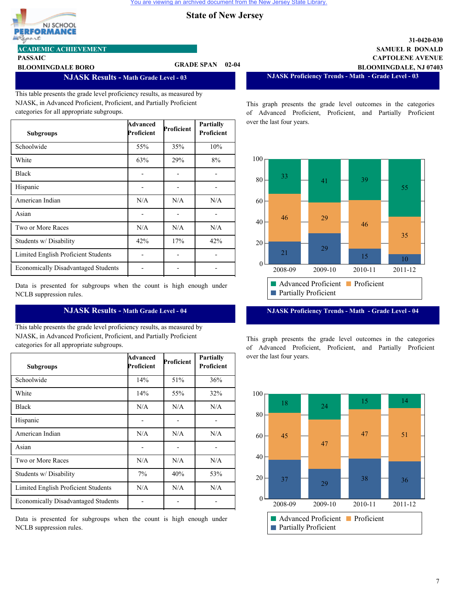

**PASSAIC**

#### **ACADEMIC ACHIEVEMENT**

**BLOOMINGDALE BORO GRADE SPAN 02-04**

### **NJASK Results - Math Grade Level - 03**

This table presents the grade level proficiency results, as measured by NJASK, in Advanced Proficient, Proficient, and Partially Proficient categories for all appropriate subgroups.

| <b>Subgroups</b>                           | Advanced<br>Proficient | Proficient | Partially<br>Proficient |
|--------------------------------------------|------------------------|------------|-------------------------|
| Schoolwide                                 | 55%                    | 35%        | 10%                     |
| White                                      | 63%                    | 29%        | 8%                      |
| <b>Black</b>                               |                        |            |                         |
| Hispanic                                   |                        |            |                         |
| American Indian                            | N/A                    | N/A        | N/A                     |
| Asian                                      |                        |            |                         |
| Two or More Races                          | N/A                    | N/A        | N/A                     |
| Students w/Disability                      | 42%                    | 17%        | 42%                     |
| Limited English Proficient Students        |                        |            |                         |
| <b>Economically Disadvantaged Students</b> |                        |            |                         |

Data is presented for subgroups when the count is high enough under NCLB suppression rules.

### **NJASK Results - Math Grade Level - 04**

This table presents the grade level proficiency results, as measured by NJASK, in Advanced Proficient, Proficient, and Partially Proficient categories for all appropriate subgroups.

| <b>Subgroups</b>                           | Advanced<br>Proficient | Proficient | <b>Partially</b><br>Proficient |
|--------------------------------------------|------------------------|------------|--------------------------------|
| Schoolwide                                 | 14%                    | 51%        | 36%                            |
| White                                      | 14%                    | 55%        | 32%                            |
| <b>Black</b>                               | N/A                    | N/A        | N/A                            |
| Hispanic                                   |                        |            |                                |
| American Indian                            | N/A                    | N/A        | N/A                            |
| Asian                                      |                        |            |                                |
| Two or More Races                          | N/A                    | N/A        | N/A                            |
| Students w/Disability                      | 7%                     | 40%        | 53%                            |
| Limited English Proficient Students        | N/A                    | N/A        | N/A                            |
| <b>Economically Disadvantaged Students</b> |                        |            |                                |

Data is presented for subgroups when the count is high enough under NCLB suppression rules.

**CAPTOLENE AVENUE SAMUEL R DONALD BLOOMINGDALE, NJ 07403**

**31-0420-030**

**NJASK Proficiency Trends - Math - Grade Level - 03**

This graph presents the grade level outcomes in the categories of Advanced Proficient, Proficient, and Partially Proficient over the last four years.



**NJASK Proficiency Trends - Math - Grade Level - 04**

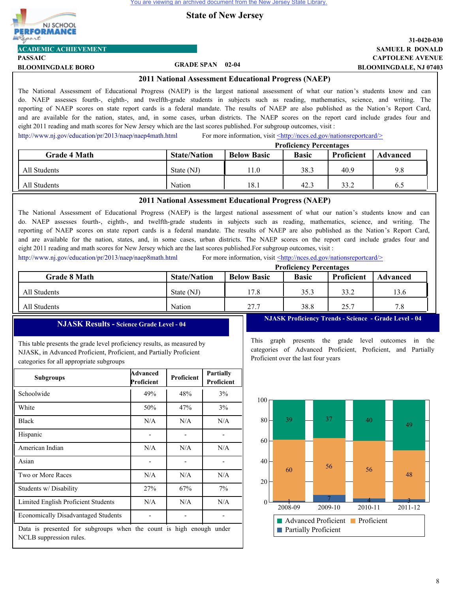

# **ACADEMIC ACHIEVEMENT**

**PASSAIC**

# **BLOOMINGDALE BORO GRADE SPAN 02-04**

## **CAPTOLENE AVENUE SAMUEL R DONALD 31-0420-030 BLOOMINGDALE, NJ 07403**

#### **2011 National Assessment Educational Progress (NAEP)**

The National Assessment of Educational Progress (NAEP) is the largest national assessment of what our nation's students know and can do. NAEP assesses fourth-, eighth-, and twelfth-grade students in subjects such as reading, mathematics, science, and writing. The reporting of NAEP scores on state report cards is a federal mandate. The results of NAEP are also published as the Nation's Report Card, and are available for the nation, states, and, in some cases, urban districts. The NAEP scores on the report card include grades four and eight 2011 reading and math scores for New Jersey which are the last scores published. For subgroup outcomes, visit :

<http://www.nj.gov/education/pr/2013/naep/naep4math.html> For more information, visit  $\leq$ http://nces.ed.gov/nationsreportcard/>

|                     | <b>Proficiency Percentages</b>                                                             |      |      |      |     |  |
|---------------------|--------------------------------------------------------------------------------------------|------|------|------|-----|--|
| <b>Grade 4 Math</b> | Proficient<br><b>State/Nation</b><br><b>Below Basic</b><br><b>Basic</b><br><b>Advanced</b> |      |      |      |     |  |
| All Students        | State (NJ)                                                                                 | 11.0 | 38.3 | 40.9 | 9.8 |  |
| All Students        | Nation                                                                                     | 18.1 | 42.3 | 33.2 | 6.5 |  |

### **2011 National Assessment Educational Progress (NAEP)**

The National Assessment of Educational Progress (NAEP) is the largest national assessment of what our nation's students know and can do. NAEP assesses fourth-, eighth-, and twelfth-grade students in subjects such as reading, mathematics, science, and writing. The reporting of NAEP scores on state report cards is a federal mandate. The results of NAEP are also published as the Nation's Report Card, and are available for the nation, states, and, in some cases, urban districts. The NAEP scores on the report card include grades four and eight 2011 reading and math scores for New Jersey which are the last scores published.For subgroup outcomes, visit :

<http://www.nj.gov/education/pr/2013/naep/naep8math.html> For more information, visit <http://nces.ed.gov/nationsreportcard/>

|                     | <b>Proficiency Percentages</b> |                    |              |            |                 |
|---------------------|--------------------------------|--------------------|--------------|------------|-----------------|
| <b>Grade 8 Math</b> | <b>State/Nation</b>            | <b>Below Basic</b> | <b>Basic</b> | Proficient | <b>Advanced</b> |
| All Students        | State (NJ)                     | 17.8               | 35.3         | 33.2       | 13.6            |
| All Students        | Nation                         | 27.7               | 38.8         | 25.7       | 7.8             |

3

### **NJASK Results - Science Grade Level - 04**

This table presents the grade level proficiency results, as measured by NJASK, in Advanced Proficient, Proficient, and Partially Proficient categories for all appropriate subgroups

| <b>Subgroups</b>                                                                               | Advanced<br>Proficient | Proficient | <b>Partially</b><br>Proficient |  |  |
|------------------------------------------------------------------------------------------------|------------------------|------------|--------------------------------|--|--|
| Schoolwide                                                                                     | 49%                    | 48%        | 3%                             |  |  |
| White                                                                                          | 50%                    | 47%        | 3%                             |  |  |
| <b>Black</b>                                                                                   | N/A                    | N/A        | N/A                            |  |  |
| Hispanic                                                                                       |                        |            |                                |  |  |
| American Indian                                                                                | N/A                    | N/A        | N/A                            |  |  |
| Asian                                                                                          |                        |            |                                |  |  |
| Two or More Races                                                                              | N/A                    | N/A        | N/A                            |  |  |
| Students w/Disability                                                                          | 27%                    | 67%        | 7%                             |  |  |
| Limited English Proficient Students                                                            | N/A                    | N/A        | N/A                            |  |  |
| <b>Economically Disadvantaged Students</b>                                                     |                        |            |                                |  |  |
| Data is presented for subgroups when the count is high enough under<br>NCLB suppression rules. |                        |            |                                |  |  |

**NJASK Proficiency Trends - Science - Grade Level - 04**

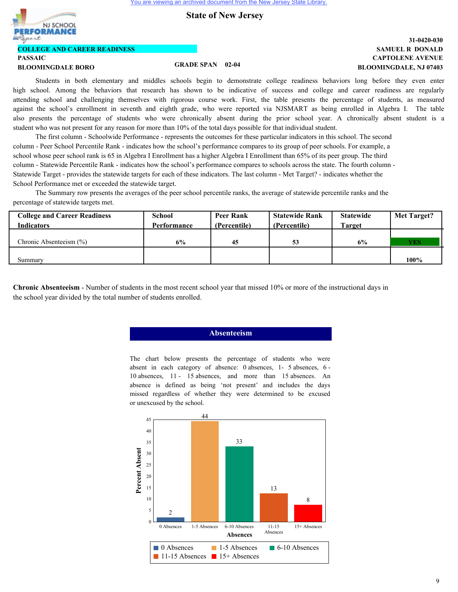

# **COLLEGE AND CAREER READINESS**

# **PASSAIC**

## **BLOOMINGDALE BORO GRADE SPAN 02-04**

# **CAPTOLENE AVENUE SAMUEL R DONALD 31-0420-030 BLOOMINGDALE, NJ 07403**

Students in both elementary and middles schools begin to demonstrate college readiness behaviors long before they even enter high school. Among the behaviors that research has shown to be indicative of success and college and career readiness are regularly attending school and challenging themselves with rigorous course work. First, the table presents the percentage of students, as measured against the school's enrollment in seventh and eighth grade, who were reported via NJSMART as being enrolled in Algebra I. The table also presents the percentage of students who were chronically absent during the prior school year. A chronically absent student is a student who was not present for any reason for more than 10% of the total days possible for that individual student.

The first column - Schoolwide Performance - represents the outcomes for these particular indicators in this school. The second column - Peer School Percentile Rank - indicates how the school's performance compares to its group of peer schools. For example, a school whose peer school rank is 65 in Algebra I Enrollment has a higher Algebra I Enrollment than 65% of its peer group. The third column - Statewide Percentile Rank - indicates how the school's performance compares to schools across the state. The fourth column - Statewide Target - provides the statewide targets for each of these indicators. The last column - Met Target? - indicates whether the School Performance met or exceeded the statewide target.

The Summary row presents the averages of the peer school percentile ranks, the average of statewide percentile ranks and the percentage of statewide targets met.

| <b>College and Career Readiness</b> | School      | Peer Rank    | <b>Statewide Rank</b> | <b>Statewide</b> | Met Target? |
|-------------------------------------|-------------|--------------|-----------------------|------------------|-------------|
| <b>Indicators</b>                   | Performance | (Percentile) | (Percentile)          | <b>Target</b>    |             |
|                                     |             |              |                       |                  |             |
| Chronic Absenteeism $(\% )$         | 6%          | 45           | 53                    | 6%               | <b>YES</b>  |
|                                     |             |              |                       |                  |             |
| Summary                             |             |              |                       |                  | 100%        |

**Chronic Absenteeism** - Number of students in the most recent school year that missed 10% or more of the instructional days in the school year divided by the total number of students enrolled.

### **Absenteeism**

The chart below presents the percentage of students who were absent in each category of absence: 0 absences, 1- 5 absences, 6 - 10 absences, 11 - 15 absences, and more than 15 absences. An absence is defined as being 'not present' and includes the days missed regardless of whether they were determined to be excused or unexcused by the school.

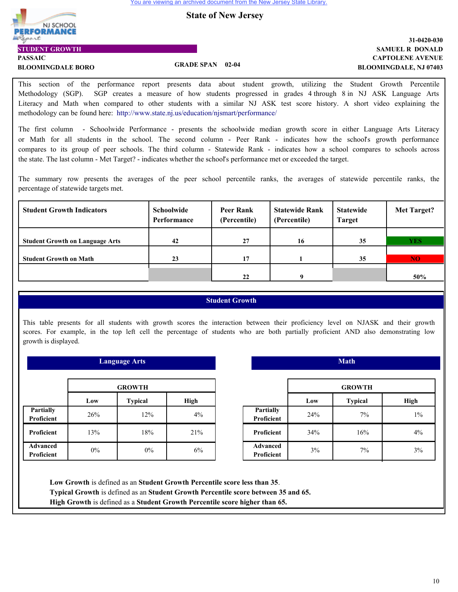**State of New Jersey**



**STUDENT GROWTH**

## **CAPTOLENE AVENUE SAMUEL R DONALD 31-0420-030 BLOOMINGDALE, NJ 07403**

**PASSAIC BLOOMINGDALE BORO GRADE SPAN 02-04**

This section of the performance report presents data about student growth, utilizing the Student Growth Percentile Methodology (SGP). SGP creates a measure of how students progressed in grades 4 through 8 in NJ ASK Language Arts Literacy and Math when compared to other students with a similar NJ ASK test score history. A short video explaining the methodology can be found here: http://www.state.nj.us/education/njsmart/performance/

The first column - Schoolwide Performance - presents the schoolwide median growth score in either Language Arts Literacy or Math for all students in the school. The second column - Peer Rank - indicates how the school's growth performance compares to its group of peer schools. The third column - Statewide Rank - indicates how a school compares to schools across the state. The last column - Met Target? - indicates whether the school's performance met or exceeded the target.

The summary row presents the averages of the peer school percentile ranks, the averages of statewide percentile ranks, the percentage of statewide targets met.

| <b>Student Growth Indicators</b>       | <b>Schoolwide</b><br>Performance | Peer Rank<br>(Percentile) | <b>Statewide Rank</b><br>(Percentile) | <b>Statewide</b><br><b>Target</b> | Met Target? |
|----------------------------------------|----------------------------------|---------------------------|---------------------------------------|-----------------------------------|-------------|
|                                        |                                  |                           |                                       |                                   |             |
| <b>Student Growth on Language Arts</b> | 42                               | 27                        | 16                                    | 35                                | <b>YES</b>  |
|                                        |                                  |                           |                                       |                                   |             |
| <b>Student Growth on Math</b>          | 23                               | 17                        |                                       | 35                                | <b>NO</b>   |
|                                        |                                  |                           |                                       |                                   |             |
|                                        |                                  | 22                        |                                       |                                   | 50%         |

## **Student Growth**

This table presents for all students with growth scores the interaction between their proficiency level on NJASK and their growth scores. For example, in the top left cell the percentage of students who are both partially proficient AND also demonstrating low growth is displayed.

|                               | <b>GROWTH</b> |                |             |  |  |
|-------------------------------|---------------|----------------|-------------|--|--|
|                               | Low           | <b>Typical</b> | <b>High</b> |  |  |
| Partially<br>Proficient       | 26%           | 12%            | 4%          |  |  |
| Proficient                    | 13%           | 18%            | 21%         |  |  |
| <b>Advanced</b><br>Proficient | 0%            | 0%             | 6%          |  |  |

 **Language Arts**

|                               | <b>GROWTH</b> |                |       |  |
|-------------------------------|---------------|----------------|-------|--|
|                               | Low           | <b>Typical</b> | High  |  |
| Partially<br>Proficient       | 24%           | $7\%$          | $1\%$ |  |
| Proficient                    | 34%           | 16%            | $4\%$ |  |
| <b>Advanced</b><br>Proficient | 3%            | 7%             | 3%    |  |

 **Math**

**Low Growth** is defined as an **Student Growth Percentile score less than 35**. **Typical Growth** is defined as an **Student Growth Percentile score between 35 and 65. High Growth** is defined as a **Student Growth Percentile score higher than 65.**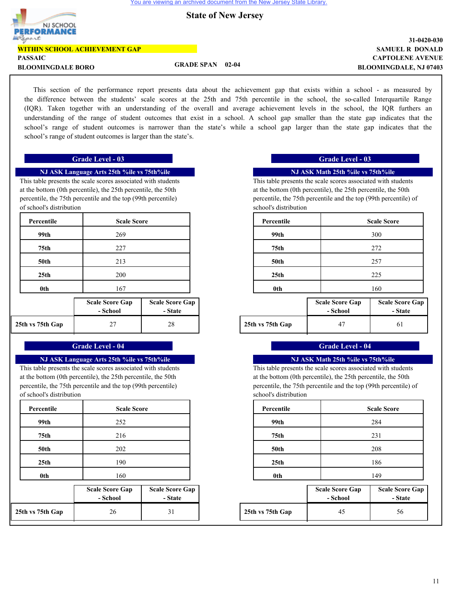

# **State of New Jersey**

| PERFORMANCE                          |                                |                               |
|--------------------------------------|--------------------------------|-------------------------------|
| Report                               |                                | 31-0420-030                   |
| <b>WITHIN SCHOOL ACHIEVEMENT GAP</b> |                                | <b>SAMUEL R DONALD</b>        |
| <b>PASSAIC</b>                       |                                | <b>CAPTOLENE AVENUE</b>       |
| <b>BLOOMINGDALE BORO</b>             | <b>GRADE SPAN</b><br>$02 - 04$ | <b>BLOOMINGDALE, NJ 07403</b> |

This section of the performance report presents data about the achievement gap that exists within a school - as measured by the difference between the students' scale scores at the 25th and 75th percentile in the school, the so-called Interquartile Range (IQR). Taken together with an understanding of the overall and average achievement levels in the school, the IQR furthers an understanding of the range of student outcomes that exist in a school. A school gap smaller than the state gap indicates that the school's range of student outcomes is narrower than the state's while a school gap larger than the state gap indicates that the school's range of student outcomes is larger than the state's.

#### **Grade Level - 03 Grade Level - 03**

#### **NJ ASK Language Arts 25th %ile vs 75th%ile**

This table presents the scale scores associated with students at the bottom (0th percentile), the 25th percentile, the 50th percentile, the 75th percentile and the top (99th percentile) of school's distribution

| Percentile       | <b>Scale Score</b>                 |                                   | Percentile       |                                    | <b>Scale Score</b>  |
|------------------|------------------------------------|-----------------------------------|------------------|------------------------------------|---------------------|
| 99th             | 269                                |                                   | 99th             |                                    | 300                 |
| 75th             | 227                                |                                   | 75th             |                                    | 272                 |
| <b>50th</b>      | 213                                |                                   | <b>50th</b>      |                                    | 257                 |
| 25 <sub>th</sub> | 200                                |                                   | 25 <sub>th</sub> |                                    | 225                 |
| 0th              | 167                                |                                   | 0th              |                                    | 160                 |
|                  | <b>Scale Score Gap</b><br>- School | <b>Scale Score Gap</b><br>- State |                  | <b>Scale Score Gap</b><br>- School | Scale Sco<br>$-Sti$ |
| 25th vs 75th Gap | 27                                 | 28                                | 25th vs 75th Gap | 47                                 | 61                  |

### **Grade Level - 04 Grade Level - 04**

#### **NJ ASK Language Arts 25th %ile vs 75th%ile**

This table presents the scale scores associated with students at the bottom (0th percentile), the 25th percentile, the 50th percentile, the 75th percentile and the top (99th percentile) of school's distribution

| <b>Scale Score</b> |
|--------------------|
| 252                |
| 216                |
| 202                |
| 190                |
| 160                |
|                    |

|                  | <b>Scale Score Gap</b><br>- School | <b>Scale Score Gap</b><br>- State |                  | <b>Scale Score Gap</b><br>- School | <b>Scale Sco</b><br>- St: |
|------------------|------------------------------------|-----------------------------------|------------------|------------------------------------|---------------------------|
| 25th vs 75th Gap | 26                                 | $\mathfrak{z}_1$                  | 25th vs 75th Gap | 45                                 | 56                        |

#### **NJ ASK Math 25th %ile vs 75th%ile**

This table presents the scale scores associated with students at the bottom (0th percentile), the 25th percentile, the 50th percentile, the 75th percentile and the top (99th percentile) of school's distribution

| <b>Scale Score</b> |                        | Percentile       |                        | <b>Scale Score</b>     |
|--------------------|------------------------|------------------|------------------------|------------------------|
| 269                |                        | 99th             |                        | 300                    |
| 227                |                        | 75th             |                        | 272                    |
| 213                |                        | <b>50th</b>      |                        | 257                    |
| 200                |                        | 25 <sub>th</sub> |                        | 225                    |
| 167                |                        | 0th              |                        | 160                    |
| e Gap              | <b>Scale Score Gap</b> |                  | <b>Scale Score Gap</b> | <b>Scale Score Gap</b> |

| -------                            |          |                  |          |         |
|------------------------------------|----------|------------------|----------|---------|
| :hool                              | - State  |                  | - School | - State |
| $\sim$<br>$\overline{\phantom{a}}$ | າດ<br>40 | 25th vs 75th Gap |          | υı      |

#### **NJ ASK Math 25th %ile vs 75th%ile**

This table presents the scale scores associated with students at the bottom (0th percentile), the 25th percentile, the 50th percentile, the 75th percentile and the top (99th percentile) of school's distribution

| <b>Scale Score</b> | Percentile       | <b>Scale Score</b> |
|--------------------|------------------|--------------------|
| 252                | 99th             | 284                |
| 216                | 75th             | 231                |
| 202                | <b>50th</b>      | 208                |
| 190                | 25 <sub>th</sub> | 186                |
| 160                | 0th              | 149                |

| core Gap<br>:hool | <b>Scale Score Gap</b><br>- State |                  | <b>Scale Score Gap</b><br>- School | <b>Scale Score Gap</b><br>- State |
|-------------------|-----------------------------------|------------------|------------------------------------|-----------------------------------|
| 26                |                                   | 25th vs 75th Gap | 45                                 | 56                                |

 $\overline{1}$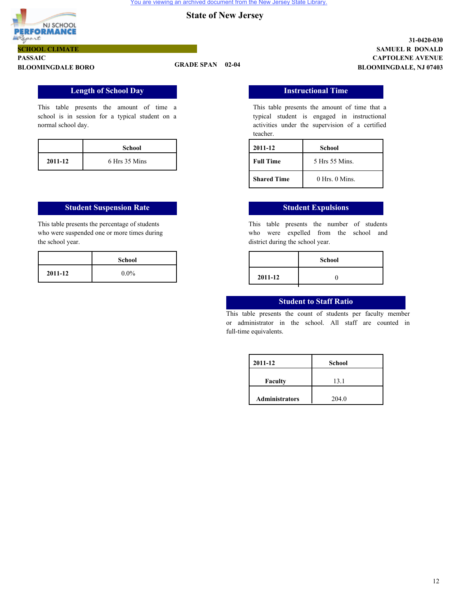![](_page_13_Picture_2.jpeg)

#### **PASSAIC BLOOMINGDALE BORO GRADE SPAN 02-04 SCHOOL CLIMATE**

**CAPTOLENE AVENUE SAMUEL R DONALD 31-0420-030 BLOOMINGDALE, NJ 07403**

## **Length of School Day**

This table presents the amount of time a school is in session for a typical student on a normal school day.

|         | <b>School</b> |
|---------|---------------|
| 2011-12 | 6 Hrs 35 Mins |

#### **Student Suspension Rate Student Expulsions**

This table presents the percentage of students who were suspended one or more times during the school year.

|         | <b>School</b> |
|---------|---------------|
| 2011-12 | $0.0\%$       |

### **Instructional Time**

This table presents the amount of time that a typical student is engaged in instructional activities under the supervision of a certified teacher.

| 2011-12            | School             |
|--------------------|--------------------|
| <b>Full Time</b>   | 5 Hrs 55 Mins.     |
| <b>Shared Time</b> | $0$ Hrs. $0$ Mins. |

This table presents the number of students who were expelled from the school and district during the school year.

| School  |         | <b>School</b> |
|---------|---------|---------------|
| $0.0\%$ | 2011-12 |               |
|         |         |               |

### **Student to Staff Ratio**

This table presents the count of students per faculty member or administrator in the school. All staff are counted in full-time equivalents.

| 2011-12               | <b>School</b> |
|-----------------------|---------------|
| <b>Faculty</b>        | 13.1          |
| <b>Administrators</b> | 204.0         |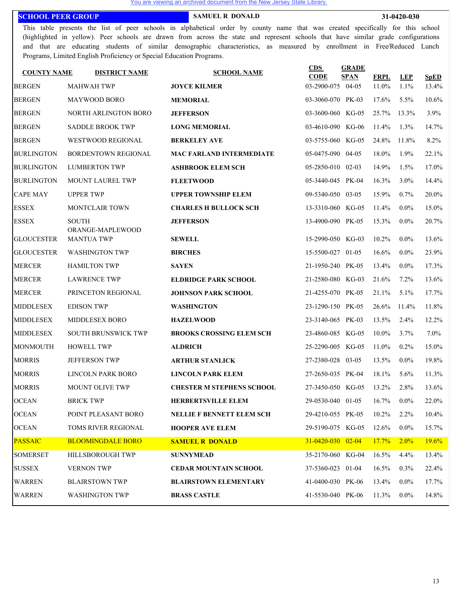#### **SCHOOL PEER GROUP SAMUEL R DONALD 31-0420-030**

This table presents the list of peer schools in alphabetical order by county name that was created specifically for this school (highlighted in yellow). Peer schools are drawn from across the state and represent schools that have similar grade configurations and that are educating students of similar demographic characteristics, as measured by enrollment in Free/Reduced Lunch Programs, Limited English Proficiency or Special Education Programs.

| <b>COUNTY NAME</b> | <b>DISTRICT NAME</b>                  | <b>SCHOOL NAME</b>               | CDS<br><b>CODE</b>           | <b>GRADE</b><br><b>SPAN</b> | <b>FRPL</b> | <b>LEP</b> | <b>SpED</b> |
|--------------------|---------------------------------------|----------------------------------|------------------------------|-----------------------------|-------------|------------|-------------|
| <b>BERGEN</b>      | <b>MAHWAH TWP</b>                     | <b>JOYCE KILMER</b>              | 03-2900-075 04-05            |                             | 11.0%       | $1.1\%$    | 13.4%       |
| <b>BERGEN</b>      | <b>MAYWOOD BORO</b>                   | <b>MEMORIAL</b>                  | 03-3060-070 PK-03            |                             | 17.6%       | $5.5\%$    | $10.6\%$    |
| <b>BERGEN</b>      | NORTH ARLINGTON BORO                  | <b>JEFFERSON</b>                 | 03-3600-060 KG-05            |                             | 25.7%       | 13.3%      | 3.9%        |
| <b>BERGEN</b>      | <b>SADDLE BROOK TWP</b>               | <b>LONG MEMORIAL</b>             | 03-4610-090 KG-06            |                             | 11.4%       | $1.3\%$    | 14.7%       |
| <b>BERGEN</b>      | <b>WESTWOOD REGIONAL</b>              | <b>BERKELEY AVE</b>              | 03-5755-060 KG-05            |                             | 24.8%       | 11.8%      | 8.2%        |
| <b>BURLINGTON</b>  | BORDENTOWN REGIONAL                   | <b>MAC FARLAND INTERMEDIATE</b>  | 05-0475-090 04-05            |                             | 18.0%       | 1.9%       | 22.1%       |
| <b>BURLINGTON</b>  | <b>LUMBERTON TWP</b>                  | <b>ASHBROOK ELEM SCH</b>         | 05-2850-010 02-03            |                             | 14.9%       | 1.5%       | 17.0%       |
| <b>BURLINGTON</b>  | MOUNT LAUREL TWP                      | <b>FLEETWOOD</b>                 | 05-3440-045 PK-04            |                             | 16.3%       | $3.0\%$    | 14.4%       |
| <b>CAPE MAY</b>    | <b>UPPER TWP</b>                      | <b>UPPER TOWNSHIP ELEM</b>       | 09-5340-050 03-05            |                             | 15.9%       | $0.7\%$    | 20.0%       |
| <b>ESSEX</b>       | <b>MONTCLAIR TOWN</b>                 | <b>CHARLES H BULLOCK SCH</b>     | 13-3310-060 KG-05            |                             | 11.4%       | $0.0\%$    | 15.0%       |
| <b>ESSEX</b>       | <b>SOUTH</b>                          | <b>JEFFERSON</b>                 | 13-4900-090 PK-05            |                             | 15.3%       | $0.0\%$    | 20.7%       |
| <b>GLOUCESTER</b>  | ORANGE-MAPLEWOOD<br><b>MANTUA TWP</b> | <b>SEWELL</b>                    | 15-2990-050 KG-03            |                             | 10.2%       | $0.0\%$    | 13.6%       |
| <b>GLOUCESTER</b>  | <b>WASHINGTON TWP</b>                 | <b>BIRCHES</b>                   | 15-5500-027 01-05            |                             | 16.6%       | $0.0\%$    | 23.9%       |
| <b>MERCER</b>      | <b>HAMILTON TWP</b>                   | <b>SAYEN</b>                     | 21-1950-240 PK-05            |                             | 13.4%       | $0.0\%$    | 17.3%       |
| <b>MERCER</b>      | <b>LAWRENCE TWP</b>                   | <b>ELDRIDGE PARK SCHOOL</b>      | 21-2580-080 KG-03            |                             | 21.6%       | $7.2\%$    | 13.6%       |
| <b>MERCER</b>      | PRINCETON REGIONAL                    | <b>JOHNSON PARK SCHOOL</b>       | 21-4255-070 PK-05            |                             | 21.1%       | $5.1\%$    | 17.7%       |
| <b>MIDDLESEX</b>   | <b>EDISON TWP</b>                     | <b>WASHINGTON</b>                | 23-1290-150 PK-05            |                             | 26.6%       | 11.4%      | 11.8%       |
| <b>MIDDLESEX</b>   | MIDDLESEX BORO                        | <b>HAZELWOOD</b>                 | 23-3140-065 PK-03            |                             | 13.5%       | $2.4\%$    | 12.2%       |
| <b>MIDDLESEX</b>   | <b>SOUTH BRUNSWICK TWP</b>            | <b>BROOKS CROSSING ELEM SCH</b>  | 23-4860-085 KG-05            |                             | $10.0\%$    | 3.7%       | $7.0\%$     |
| <b>MONMOUTH</b>    | <b>HOWELL TWP</b>                     | <b>ALDRICH</b>                   | 25-2290-005 KG-05            |                             | 11.0%       | $0.2\%$    | 15.0%       |
| <b>MORRIS</b>      | <b>JEFFERSON TWP</b>                  | <b>ARTHUR STANLICK</b>           | 27-2380-028 03-05            |                             | 13.5%       | $0.0\%$    | 19.8%       |
| <b>MORRIS</b>      | <b>LINCOLN PARK BORO</b>              | <b>LINCOLN PARK ELEM</b>         | 27-2650-035 PK-04            |                             | 18.1%       | $5.6\%$    | 11.3%       |
| <b>MORRIS</b>      | <b>MOUNT OLIVE TWP</b>                | <b>CHESTER M STEPHENS SCHOOL</b> | 27-3450-050 KG-05            |                             | 13.2%       | 2.8%       | 13.6%       |
| <b>OCEAN</b>       | <b>BRICK TWP</b>                      | <b>HERBERTSVILLE ELEM</b>        | 29-0530-040 01-05 16.7% 0.0% |                             |             |            | 22.0%       |
| <b>OCEAN</b>       | POINT PLEASANT BORO                   | NELLIE F BENNETT ELEM SCH        | 29-4210-055 PK-05            |                             | 10.2%       | $2.2\%$    | 10.4%       |
| <b>OCEAN</b>       | TOMS RIVER REGIONAL                   | <b>HOOPER AVE ELEM</b>           | 29-5190-075 KG-05            |                             | 12.6%       | $0.0\%$    | 15.7%       |
| <b>PASSAIC</b>     | <b>BLOOMINGDALE BORO</b>              | <b>SAMUEL R DONALD</b>           | $31 - 0420 - 030$ 02-04      |                             | 17.7%       | $2.0\%$    | 19.6%       |
| <b>SOMERSET</b>    | HILLSBOROUGH TWP                      | <b>SUNNYMEAD</b>                 | 35-2170-060 KG-04            |                             | 16.5%       | $4.4\%$    | 13.4%       |
| <b>SUSSEX</b>      | <b>VERNON TWP</b>                     | <b>CEDAR MOUNTAIN SCHOOL</b>     | 37-5360-023 01-04            |                             | 16.5%       | $0.3\%$    | 22.4%       |
| <b>WARREN</b>      | <b>BLAIRSTOWN TWP</b>                 | <b>BLAIRSTOWN ELEMENTARY</b>     | 41-0400-030 PK-06            |                             | 13.4%       | $0.0\%$    | 17.7%       |
| <b>WARREN</b>      | <b>WASHINGTON TWP</b>                 | <b>BRASS CASTLE</b>              | 41-5530-040 PK-06            |                             | 11.3%       | $0.0\%$    | 14.8%       |
|                    |                                       |                                  |                              |                             |             |            |             |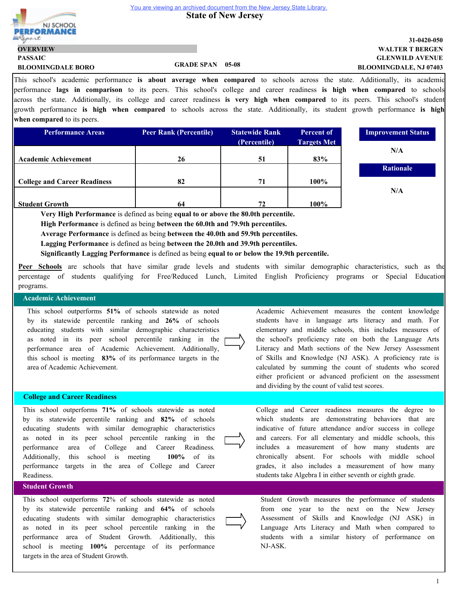**State of New Jersey** 

![](_page_15_Picture_2.jpeg)

**PASSAIC**

**OVERVIEW**

# **GLENWILD AVENUE WALTER T BERGEN 31-0420-050 BLOOMINGDALE, NJ 07403**

<sup>1</sup> This school's academic performance **is about average when compared** to schools across the state. Additionally, its academic performance **lags in comparison** to its peers. This school's college and career readiness **is high when compared** to schools across the state. Additionally, its college and career readiness **is very high when compared** to its peers. This school's student growth performance **is high when compared** to schools across the state. Additionally, its student growth performance **is high when compared** to its peers.

| <b>Performance Areas</b>            | <b>Peer Rank (Percentile)</b> | <b>Statewide Rank</b> | <b>Percent of</b>  | <b>Improvement Status</b> |
|-------------------------------------|-------------------------------|-----------------------|--------------------|---------------------------|
|                                     |                               | (Percentile)          | <b>Targets Met</b> |                           |
|                                     |                               |                       |                    | N/A                       |
| <b>Academic Achievement</b>         | 26                            | 51                    | 83%                |                           |
|                                     |                               |                       |                    | <b>Rationale</b>          |
| <b>College and Career Readiness</b> | 82                            | 71                    | $100\%$            |                           |
|                                     |                               |                       |                    | N/A                       |
| <b>Student Growth</b>               | 64                            | 72                    | $100\%$            |                           |

**Very High Performance** is defined as being **equal to or above the 80.0th percentile.**

**High Performance** is defined as being **between the 60.0th and 79.9th percentiles.**

**Average Performance** is defined as being **between the 40.0th and 59.9th percentiles.**

**Lagging Performance** is defined as being **between the 20.0th and 39.9th percentiles.**

**Significantly Lagging Performance** is defined as being **equal to or below the 19.9th percentile.**

**Peer Schools** are schools that have similar grade levels and students with similar demographic characteristics, such as the percentage of students qualifying for Free/Reduced Lunch, Limited English Proficiency programs or Special Education programs.

#### **Academic Achievement**

This school outperforms **51%** of schools statewide as noted by its statewide percentile ranking and **26%** of schools educating students with similar demographic characteristics as noted in its peer school percentile ranking in the performance area of Academic Achievement. Additionally, this school is meeting **83%** of its performance targets in the area of Academic Achievement.

**BLOOMINGDALE BORO GRADE SPAN 05-08**

#### **College and Career Readiness**

This school outperforms **71%** of schools statewide as noted by its statewide percentile ranking and **82%** of schools educating students with similar demographic characteristics as noted in its peer school percentile ranking in the performance area of College and Career Readiness. Additionally, this school is meeting **100%** of its performance targets in the area of College and Career Readiness.

# **Student Growth**

This school outperforms **72**% of schools statewide as noted by its statewide percentile ranking and **64%** of schools educating students with similar demographic characteristics as noted in its peer school percentile ranking in the performance area of Student Growth. Additionally, this school is meeting **100%** percentage of its performance targets in the area of Student Growth.

Academic Achievement measures the content knowledge students have in language arts literacy and math. For elementary and middle schools, this includes measures of the school's proficiency rate on both the Language Arts Literacy and Math sections of the New Jersey Assessment of Skills and Knowledge (NJ ASK). A proficiency rate is calculated by summing the count of students who scored either proficient or advanced proficient on the assessment and dividing by the count of valid test scores.

College and Career readiness measures the degree to which students are demonstrating behaviors that are indicative of future attendance and/or success in college and careers. For all elementary and middle schools, this includes a measurement of how many students are chronically absent. For schools with middle school grades, it also includes a measurement of how many students take Algebra I in either seventh or eighth grade.

![](_page_15_Picture_20.jpeg)

Student Growth measures the performance of students from one year to the next on the New Jersey Assessment of Skills and Knowledge (NJ ASK) in Language Arts Literacy and Math when compared to students with a similar history of performance on NJ-ASK.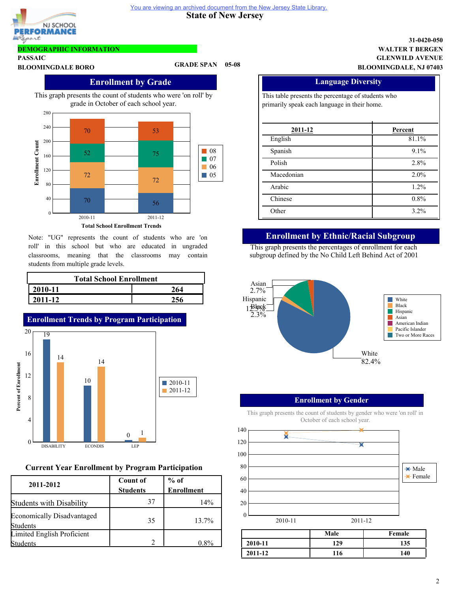**State of New Jersey** 

![](_page_16_Picture_2.jpeg)

# **DEMOGRAPHIC INFORMATION**

**PASSAIC**

# **BLOOMINGDALE BORO GRADE SPAN 05-08**

# **Enrollment by Grade**

This graph presents the count of students who were 'on roll' by grade in October of each school year.

![](_page_16_Figure_9.jpeg)

Note: "UG" represents the count of students who are 'on roll' in this school but who are educated in ungraded classrooms, meaning that the classrooms may contain students from multiple grade levels.

| <b>Total School Enrollment</b> |     |  |  |  |
|--------------------------------|-----|--|--|--|
| $ 2010-11$<br>264              |     |  |  |  |
| $12011 - 12$                   | 256 |  |  |  |

![](_page_16_Figure_12.jpeg)

# **Current Year Enrollment by Program Participation**

| 2011-2012                                            | <b>Count of</b><br><b>Students</b> | $%$ of<br><b>Enrollment</b> |  |  |
|------------------------------------------------------|------------------------------------|-----------------------------|--|--|
| <b>Students with Disability</b>                      | 37                                 | 14%                         |  |  |
| <b>Economically Disadvantaged</b><br><b>Students</b> | 35                                 | 13.7%                       |  |  |
| Limited English Proficient<br>Students               |                                    | $0.8\%$                     |  |  |

## **GLENWILD AVENUE WALTER T BERGEN 31-0420-050 BLOOMINGDALE, NJ 07403**

| <b>Language Diversity</b>                                                                          |         |  |  |  |
|----------------------------------------------------------------------------------------------------|---------|--|--|--|
| This table presents the percentage of students who<br>primarily speak each language in their home. |         |  |  |  |
| 2011-12                                                                                            | Percent |  |  |  |
| English                                                                                            | 81.1%   |  |  |  |
| Spanish                                                                                            | $9.1\%$ |  |  |  |
| Polish                                                                                             | 2.8%    |  |  |  |
| Macedonian                                                                                         | 2.0%    |  |  |  |
| Arabic                                                                                             | 1.2%    |  |  |  |
| Chinese                                                                                            | 0.8%    |  |  |  |
| Other                                                                                              | $3.2\%$ |  |  |  |

# **Enrollment by Ethnic/Racial Subgroup**

This graph presents the percentages of enrollment for each subgroup defined by the No Child Left Behind Act of 2001

![](_page_16_Figure_19.jpeg)

# **Enrollment by Gender**

This graph presents the count of students by gender who were 'on roll' in October of each school year.

![](_page_16_Figure_22.jpeg)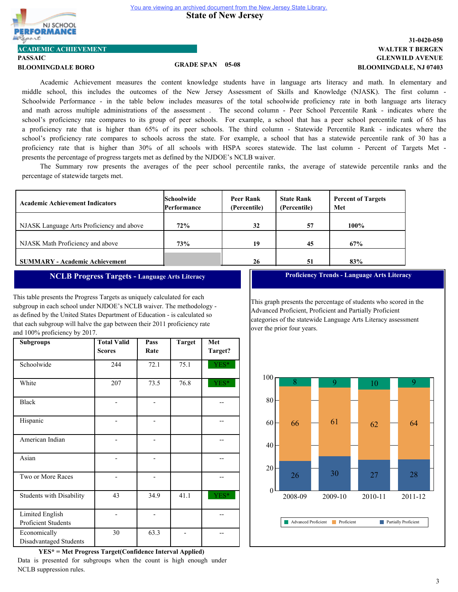![](_page_17_Picture_2.jpeg)

**ACADEMIC ACHIEVEMENT**

# **PASSAIC**

**BLOOMINGDALE BORO GRADE SPAN 05-08**

# **GLENWILD AVENUE WALTER T BERGEN 31-0420-050 BLOOMINGDALE, NJ 07403**

Academic Achievement measures the content knowledge students have in language arts literacy and math. In elementary and middle school, this includes the outcomes of the New Jersey Assessment of Skills and Knowledge (NJASK). The first column - Schoolwide Performance - in the table below includes measures of the total schoolwide proficiency rate in both language arts literacy and math across multiple administrations of the assessment . The second column - Peer School Percentile Rank - indicates where the school's proficiency rate compares to its group of peer schools. For example, a school that has a peer school percentile rank of 65 has a proficiency rate that is higher than 65% of its peer schools. The third column - Statewide Percentile Rank - indicates where the school's proficiency rate compares to schools across the state. For example, a school that has a statewide percentile rank of 30 has a proficiency rate that is higher than 30% of all schools with HSPA scores statewide. The last column - Percent of Targets Met presents the percentage of progress targets met as defined by the NJDOE's NCLB waiver.

The Summary row presents the averages of the peer school percentile ranks, the average of statewide percentile ranks and the percentage of statewide targets met.

| <b>Academic Achievement Indicators</b>    | <b>Schoolwide</b><br>Performance | Peer Rank<br>(Percentile) | <b>State Rank</b><br>(Percentile) | <b>Percent of Targets</b><br>Met |
|-------------------------------------------|----------------------------------|---------------------------|-----------------------------------|----------------------------------|
| NJASK Language Arts Proficiency and above | 72%                              | 32                        | 57                                | 100%                             |
| NJASK Math Proficiency and above          | 73%                              | 19                        | 45                                | 67%                              |
| <b>SUMMARY - Academic Achievement</b>     |                                  | 26                        | 51                                | 83%                              |

# **NCLB Progress Targets - Language Arts Literacy**

This table presents the Progress Targets as uniquely calculated for each subgroup in each school under NJDOE's NCLB waiver. The methodology as defined by the United States Department of Education - is calculated so that each subgroup will halve the gap between their 2011 proficiency rate and 100% proficiency by 2017.

| <b>Subgroups</b>                       | <b>Total Valid</b><br><b>Scores</b> | Pass<br>Rate | <b>Target</b> | Met<br>Target? |
|----------------------------------------|-------------------------------------|--------------|---------------|----------------|
| Schoolwide                             | 244                                 | 72.1         | 75.1          | YES*           |
| White                                  | 207                                 | 73.5         | 76.8          | YES*           |
| <b>Black</b>                           |                                     |              |               |                |
| Hispanic                               |                                     |              |               |                |
| American Indian                        |                                     |              |               |                |
| Asian                                  |                                     |              |               |                |
| Two or More Races                      |                                     |              |               |                |
| <b>Students with Disability</b>        | 43                                  | 34.9         | 41.1          | YES*           |
| Limited English<br>Proficient Students |                                     |              |               |                |
| Economically<br>Disadvantaged Students | 30                                  | 63.3         |               |                |

**YES\* = Met Progress Target(Confidence Interval Applied)** Data is presented for subgroups when the count is high enough under NCLB suppression rules.

**Proficiency Trends - Language Arts Literacy**

This graph presents the percentage of students who scored in the Advanced Proficient, Proficient and Partially Proficient categories of the statewide Language Arts Literacy assessment over the prior four years.

![](_page_17_Figure_17.jpeg)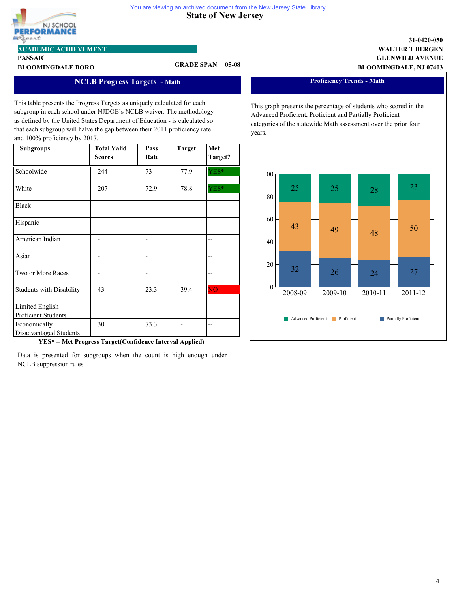![](_page_18_Picture_0.jpeg)

#### **State of New Jersey**  You are viewing an archived document from the New Jersey State Library.

**ACADEMIC ACHIEVEMENT**

# **PASSAIC**

**BLOOMINGDALE BORO GRADE SPAN 05-08**

# **GLENWILD AVENUE WALTER T BERGEN BLOOMINGDALE, NJ 07403**

**31-0420-050**

# **NCLB Progress Targets - Math**

This table presents the Progress Targets as uniquely calculated for each subgroup in each school under NJDOE's NCLB waiver. The methodology as defined by the United States Department of Education - is calculated so that each subgroup will halve the gap between their 2011 proficiency rate and 100% proficiency by 2017.

| <b>Subgroups</b>                       | <b>Total Valid</b><br><b>Scores</b> | Pass<br>Rate | <b>Target</b> | Met<br>Target?         |
|----------------------------------------|-------------------------------------|--------------|---------------|------------------------|
| Schoolwide                             | 244                                 | 73           | 77.9          | YES*                   |
| White                                  | 207                                 | 72.9         | 78.8          | YES*                   |
| <b>Black</b>                           |                                     |              |               | $-$                    |
| Hispanic                               |                                     |              |               |                        |
| American Indian                        |                                     |              |               |                        |
| Asian                                  |                                     |              |               | --                     |
| Two or More Races                      |                                     |              |               | --                     |
| <b>Students with Disability</b>        | 43                                  | 23.3         | 39.4          | $\overline{\text{NO}}$ |
| Limited English<br>Proficient Students |                                     |              |               | $-$                    |
| Economically<br>Disadvantaged Students | 30                                  | 73.3         |               |                        |

**YES\* = Met Progress Target(Confidence Interval Applied)**

Data is presented for subgroups when the count is high enough under NCLB suppression rules.

**Proficiency Trends - Math** 

This graph presents the percentage of students who scored in the Advanced Proficient, Proficient and Partially Proficient categories of the statewide Math assessment over the prior four years.

![](_page_18_Figure_14.jpeg)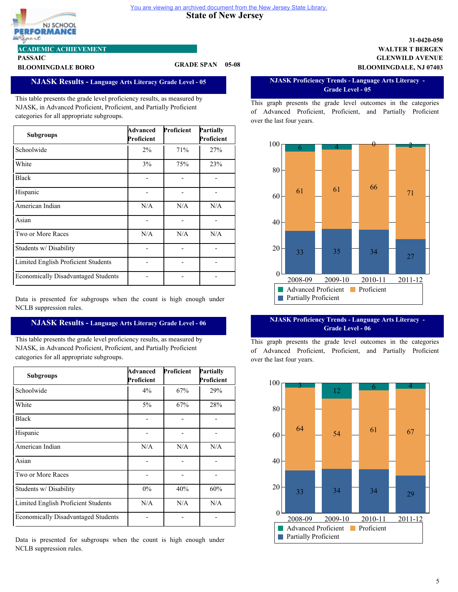![](_page_19_Picture_1.jpeg)

#### **PASSAIC ACADEMIC ACHIEVEMENT**

# **BLOOMINGDALE BORO GRADE SPAN 05-08**

## **NJASK Results - Language Arts Literacy Grade Level - 05**

This table presents the grade level proficiency results, as measured by NJASK, in Advanced Proficient, Proficient, and Partially Proficient categories for all appropriate subgroups.

| <b>Subgroups</b>                           | Advanced<br>Proficient | Proficient | Partially<br>Proficient |
|--------------------------------------------|------------------------|------------|-------------------------|
| Schoolwide                                 | $2\%$                  | 71%        | 27%                     |
| White                                      | 3%                     | 75%        | 23%                     |
| <b>Black</b>                               |                        |            |                         |
| Hispanic                                   |                        |            |                         |
| American Indian                            | N/A                    | N/A        | N/A                     |
| Asian                                      |                        |            |                         |
| Two or More Races                          | N/A                    | N/A        | N/A                     |
| Students w/ Disability                     |                        |            |                         |
| Limited English Proficient Students        |                        |            |                         |
| <b>Economically Disadvantaged Students</b> |                        |            |                         |

Data is presented for subgroups when the count is high enough under NCLB suppression rules.

# **NJASK Results - Language Arts Literacy Grade Level - 06**

This table presents the grade level proficiency results, as measured by NJASK, in Advanced Proficient, Proficient, and Partially Proficient categories for all appropriate subgroups.

| <b>Subgroups</b>                           | Advanced<br>Proficient | Proficient | Partially<br>Proficient |
|--------------------------------------------|------------------------|------------|-------------------------|
| Schoolwide                                 | $4\%$                  | 67%        | 29%                     |
| White                                      | $5\%$                  | 67%        | 28%                     |
| <b>Black</b>                               |                        |            |                         |
| Hispanic                                   |                        |            |                         |
| American Indian                            | N/A                    | N/A        | N/A                     |
| Asian                                      |                        |            |                         |
| Two or More Races                          |                        |            |                         |
| Students w/Disability                      | $0\%$                  | 40%        | 60%                     |
| Limited English Proficient Students        | N/A                    | N/A        | N/A                     |
| <b>Economically Disadvantaged Students</b> |                        |            |                         |

Data is presented for subgroups when the count is high enough under NCLB suppression rules.

### **GLENWILD AVENUE WALTER T BERGEN 31-0420-050 BLOOMINGDALE, NJ 07403**

#### **NJASK Proficiency Trends - Language Arts Literacy - Grade Level - 05**

This graph presents the grade level outcomes in the categories of Advanced Proficient, Proficient, and Partially Proficient over the last four years.

![](_page_19_Figure_15.jpeg)

#### **NJASK Proficiency Trends - Language Arts Literacy - Grade Level - 06**

![](_page_19_Figure_18.jpeg)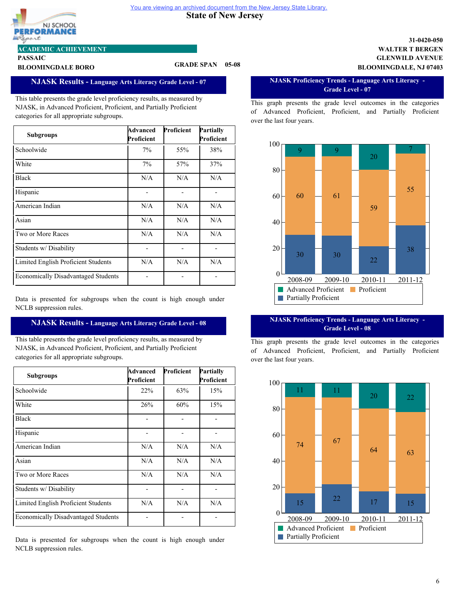![](_page_20_Picture_1.jpeg)

#### **PASSAIC ACADEMIC ACHIEVEMENT**

# **BLOOMINGDALE BORO GRADE SPAN 05-08**

# **NJASK Results - Language Arts Literacy Grade Level - 07**

This table presents the grade level proficiency results, as measured by NJASK, in Advanced Proficient, Proficient, and Partially Proficient categories for all appropriate subgroups.

| <b>Subgroups</b>                           | Advanced<br>Proficient | Proficient | Partially<br>Proficient |
|--------------------------------------------|------------------------|------------|-------------------------|
| Schoolwide                                 | 7%                     | 55%        | 38%                     |
| White                                      | 7%                     | 57%        | 37%                     |
| <b>Black</b>                               | N/A                    | N/A        | N/A                     |
| Hispanic                                   |                        |            |                         |
| American Indian                            | N/A                    | N/A        | N/A                     |
| Asian                                      | N/A                    | N/A        | N/A                     |
| Two or More Races                          | N/A                    | N/A        | N/A                     |
| Students w/ Disability                     |                        |            |                         |
| Limited English Proficient Students        | N/A                    | N/A        | N/A                     |
| <b>Economically Disadvantaged Students</b> |                        |            |                         |

Data is presented for subgroups when the count is high enough under NCLB suppression rules.

# **NJASK Results - Language Arts Literacy Grade Level - 08**

This table presents the grade level proficiency results, as measured by NJASK, in Advanced Proficient, Proficient, and Partially Proficient categories for all appropriate subgroups.

| <b>Subgroups</b>                           | Advanced<br>Proficient | Proficient | Partially<br>Proficient |
|--------------------------------------------|------------------------|------------|-------------------------|
| Schoolwide                                 | 22%                    | 63%        | 15%                     |
| White                                      | 26%                    | 60%        | 15%                     |
| <b>Black</b>                               |                        |            |                         |
| Hispanic                                   |                        |            |                         |
| American Indian                            | N/A                    | N/A        | N/A                     |
| Asian                                      | N/A                    | N/A        | N/A                     |
| Two or More Races                          | N/A                    | N/A        | N/A                     |
| Students w/ Disability                     |                        |            |                         |
| Limited English Proficient Students        | N/A                    | N/A        | N/A                     |
| <b>Economically Disadvantaged Students</b> |                        |            |                         |

Data is presented for subgroups when the count is high enough under NCLB suppression rules.

### **GLENWILD AVENUE WALTER T BERGEN 31-0420-050 BLOOMINGDALE, NJ 07403**

#### **NJASK Proficiency Trends - Language Arts Literacy - Grade Level - 07**

This graph presents the grade level outcomes in the categories of Advanced Proficient, Proficient, and Partially Proficient over the last four years.

![](_page_20_Figure_15.jpeg)

#### **NJASK Proficiency Trends - Language Arts Literacy - Grade Level - 08**

![](_page_20_Figure_18.jpeg)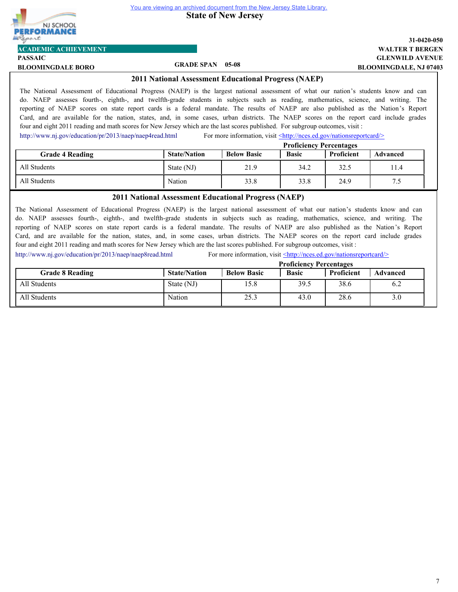![](_page_21_Picture_0.jpeg)

**State of New Jersey** 

# **GLENWILD AVENUE WALTER T BERGEN 31-0420-050 BLOOMINGDALE, NJ 07403**

**PASSAIC BLOOMINGDALE BORO GRADE SPAN 05-08**

**ACADEMIC ACHIEVEMENT**

## **2011 National Assessment Educational Progress (NAEP)**

The National Assessment of Educational Progress (NAEP) is the largest national assessment of what our nation's students know and can do. NAEP assesses fourth-, eighth-, and twelfth-grade students in subjects such as reading, mathematics, science, and writing. The reporting of NAEP scores on state report cards is a federal mandate. The results of NAEP are also published as the Nation's Report Card, and are available for the nation, states, and, in some cases, urban districts. The NAEP scores on the report card include grades four and eight 2011 reading and math scores for New Jersey which are the last scores published. For subgroup outcomes, visit :

<http://www.nj.gov/education/pr/2013/naep/naep4read.html> For more information, visit  $\leq$ http://nces.ed.gov/nationsreportcard/>

|                        | <b>Proficiency Percentages</b> |                    |              |            |                 |
|------------------------|--------------------------------|--------------------|--------------|------------|-----------------|
| <b>Grade 4 Reading</b> | <b>State/Nation</b>            | <b>Below Basic</b> | <b>Basic</b> | Proficient | <b>Advanced</b> |
| All Students           | State (NJ)                     | 21.9               | 34.2         | 32.5       | 11.4            |
| All Students           | Nation                         | 33.8               | 33.8         | 24.9       | 7.5             |

### **2011 National Assessment Educational Progress (NAEP)**

The National Assessment of Educational Progress (NAEP) is the largest national assessment of what our nation's students know and can do. NAEP assesses fourth-, eighth-, and twelfth-grade students in subjects such as reading, mathematics, science, and writing. The reporting of NAEP scores on state report cards is a federal mandate. The results of NAEP are also published as the Nation's Report Card, and are available for the nation, states, and, in some cases, urban districts. The NAEP scores on the report card include grades four and eight 2011 reading and math scores for New Jersey which are the last scores published. For subgroup outcomes, visit :

<http://www.nj.gov/education/pr/2013/naep/naep8read.html> For more information, visit <http://nces.ed.gov/nationsreportcard/>

|                        | <b>Proficiency Percentages</b> |                    |              |            |                 |
|------------------------|--------------------------------|--------------------|--------------|------------|-----------------|
| <b>Grade 8 Reading</b> | <b>State/Nation</b>            | <b>Below Basic</b> | <b>Basic</b> | Proficient | <b>Advanced</b> |
| All Students           | State (NJ)                     | 15.8               | 39.5         | 38.6       | 6.2             |
| All Students           | Nation                         | 25.3               | 43.0         | 28.6       | 3.0             |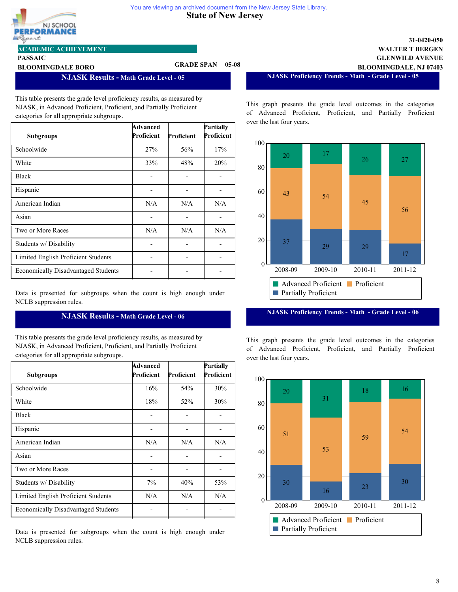![](_page_22_Picture_1.jpeg)

**PASSAIC**

### **ACADEMIC ACHIEVEMENT**

# **BLOOMINGDALE BORO GRADE SPAN 05-08**

**NJASK Results - Math Grade Level - 05**

This table presents the grade level proficiency results, as measured by NJASK, in Advanced Proficient, Proficient, and Partially Proficient categories for all appropriate subgroups.

| <b>Subgroups</b>                           | Advanced<br>Proficient | Proficient | Partially<br>Proficient |
|--------------------------------------------|------------------------|------------|-------------------------|
| Schoolwide                                 | 27%                    | 56%        | 17%                     |
| White                                      | 33%                    | 48%        | 20%                     |
| <b>Black</b>                               |                        |            |                         |
| Hispanic                                   |                        |            |                         |
| American Indian                            | N/A                    | N/A        | N/A                     |
| Asian                                      |                        |            |                         |
| Two or More Races                          | N/A                    | N/A        | N/A                     |
| Students w/ Disability                     |                        |            |                         |
| Limited English Proficient Students        |                        |            |                         |
| <b>Economically Disadvantaged Students</b> |                        |            |                         |

Data is presented for subgroups when the count is high enough under NCLB suppression rules.

# **NJASK Results - Math Grade Level - 06**

This table presents the grade level proficiency results, as measured by NJASK, in Advanced Proficient, Proficient, and Partially Proficient categories for all appropriate subgroups.

| <b>Subgroups</b>                           | Advanced<br>Proficient | Proficient | Partially<br>Proficient |
|--------------------------------------------|------------------------|------------|-------------------------|
| Schoolwide                                 | 16%                    | 54%        | 30%                     |
| White                                      | 18%                    | 52%        | 30%                     |
| <b>Black</b>                               |                        |            |                         |
| Hispanic                                   |                        |            |                         |
| American Indian                            | N/A                    | N/A        | N/A                     |
| Asian                                      |                        |            |                         |
| Two or More Races                          |                        |            |                         |
| Students w/ Disability                     | 7%                     | 40%        | 53%                     |
| Limited English Proficient Students        | N/A                    | N/A        | N/A                     |
| <b>Economically Disadvantaged Students</b> |                        |            |                         |

Data is presented for subgroups when the count is high enough under NCLB suppression rules.

**NJASK Proficiency Trends - Math - Grade Level - 05**

**GLENWILD AVENUE WALTER T BERGEN**

**BLOOMINGDALE, NJ 07403**

**31-0420-050**

This graph presents the grade level outcomes in the categories of Advanced Proficient, Proficient, and Partially Proficient over the last four years.

![](_page_22_Figure_14.jpeg)

**NJASK Proficiency Trends - Math - Grade Level - 06**

![](_page_22_Figure_17.jpeg)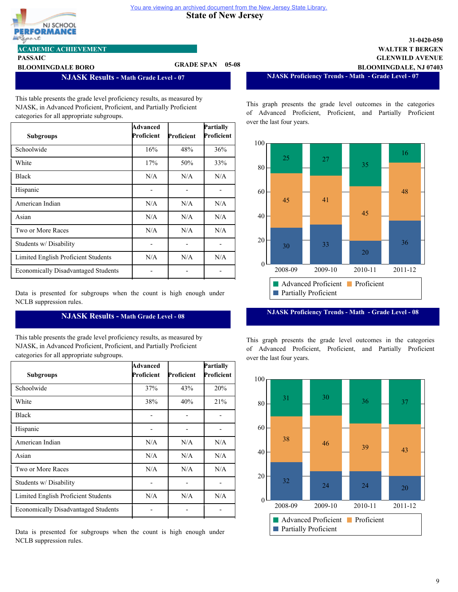![](_page_23_Picture_1.jpeg)

**PASSAIC**

### **ACADEMIC ACHIEVEMENT**

# **BLOOMINGDALE BORO GRADE SPAN 05-08**

**NJASK Results - Math Grade Level - 07**

This table presents the grade level proficiency results, as measured by NJASK, in Advanced Proficient, Proficient, and Partially Proficient categories for all appropriate subgroups.

| <b>Subgroups</b>                           | Advanced<br>Proficient | Proficient | Partially<br>Proficient |
|--------------------------------------------|------------------------|------------|-------------------------|
| Schoolwide                                 | 16%                    | 48%        | 36%                     |
| White                                      | 17%                    | 50%        | 33%                     |
| <b>Black</b>                               | N/A                    | N/A        | N/A                     |
| Hispanic                                   |                        |            |                         |
| American Indian                            | N/A                    | N/A        | N/A                     |
| Asian                                      | N/A                    | N/A        | N/A                     |
| Two or More Races                          | N/A                    | N/A        | N/A                     |
| Students w/ Disability                     |                        |            |                         |
| Limited English Proficient Students        | N/A                    | N/A        | N/A                     |
| <b>Economically Disadvantaged Students</b> |                        |            |                         |

Data is presented for subgroups when the count is high enough under NCLB suppression rules.

# **NJASK Results - Math Grade Level - 08**

This table presents the grade level proficiency results, as measured by NJASK, in Advanced Proficient, Proficient, and Partially Proficient categories for all appropriate subgroups.

| <b>Subgroups</b>                           | Advanced<br>Proficient | Proficient | Partially<br>Proficient |
|--------------------------------------------|------------------------|------------|-------------------------|
| Schoolwide                                 | 37%                    | 43%        | 20%                     |
| White                                      | 38%                    | 40%        | 21%                     |
| <b>Black</b>                               |                        |            |                         |
| Hispanic                                   |                        |            |                         |
| American Indian                            | N/A                    | N/A        | N/A                     |
| Asian                                      | N/A                    | N/A        | N/A                     |
| Two or More Races                          | N/A                    | N/A        | N/A                     |
| Students w/Disability                      |                        |            |                         |
| Limited English Proficient Students        | N/A                    | N/A        | N/A                     |
| <b>Economically Disadvantaged Students</b> |                        |            |                         |

Data is presented for subgroups when the count is high enough under NCLB suppression rules.

**NJASK Proficiency Trends - Math - Grade Level - 07**

**GLENWILD AVENUE WALTER T BERGEN**

**BLOOMINGDALE, NJ 07403**

**31-0420-050**

This graph presents the grade level outcomes in the categories of Advanced Proficient, Proficient, and Partially Proficient over the last four years.

![](_page_23_Figure_14.jpeg)

**NJASK Proficiency Trends - Math - Grade Level - 08**

![](_page_23_Figure_17.jpeg)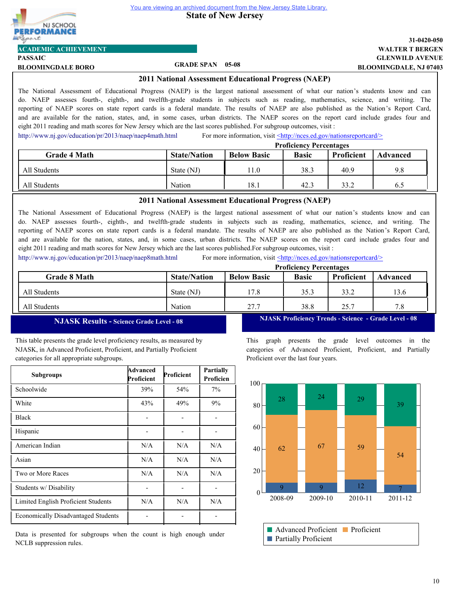![](_page_24_Picture_0.jpeg)

![](_page_24_Picture_2.jpeg)

**ACADEMIC ACHIEVEMENT**

**PASSAIC**

# **BLOOMINGDALE BORO GRADE SPAN 05-08**

## **GLENWILD AVENUE WALTER T BERGEN 31-0420-050 BLOOMINGDALE, NJ 07403**

#### **2011 National Assessment Educational Progress (NAEP)**

The National Assessment of Educational Progress (NAEP) is the largest national assessment of what our nation's students know and can do. NAEP assesses fourth-, eighth-, and twelfth-grade students in subjects such as reading, mathematics, science, and writing. The reporting of NAEP scores on state report cards is a federal mandate. The results of NAEP are also published as the Nation's Report Card, and are available for the nation, states, and, in some cases, urban districts. The NAEP scores on the report card include grades four and eight 2011 reading and math scores for New Jersey which are the last scores published. For subgroup outcomes, visit :

<http://www.nj.gov/education/pr/2013/naep/naep4math.html> For more information, visit  $\leq$ http://nces.ed.gov/nationsreportcard/>

|                     | <b>Proficiency Percentages</b> |                    |              |            |                 |
|---------------------|--------------------------------|--------------------|--------------|------------|-----------------|
| <b>Grade 4 Math</b> | <b>State/Nation</b>            | <b>Below Basic</b> | <b>Basic</b> | Proficient | <b>Advanced</b> |
| All Students        | State (NJ)                     | 11.0               | 38.3         | 40.9       | 9.8             |
| All Students        | Nation                         | 18.1               | 42.3         | 33.2       | 6.5             |

#### **2011 National Assessment Educational Progress (NAEP)**

The National Assessment of Educational Progress (NAEP) is the largest national assessment of what our nation's students know and can do. NAEP assesses fourth-, eighth-, and twelfth-grade students in subjects such as reading, mathematics, science, and writing. The reporting of NAEP scores on state report cards is a federal mandate. The results of NAEP are also published as the Nation's Report Card, and are available for the nation, states, and, in some cases, urban districts. The NAEP scores on the report card include grades four and eight 2011 reading and math scores for New Jersey which are the last scores published.For subgroup outcomes, visit :

<http://www.nj.gov/education/pr/2013/naep/naep8math.html> For more information, visit <http://nces.ed.gov/nationsreportcard/>

|                     |                     |                    | <b>Proficiency Percentages</b> |                   |          |
|---------------------|---------------------|--------------------|--------------------------------|-------------------|----------|
| <b>Grade 8 Math</b> | <b>State/Nation</b> | <b>Below Basic</b> | <b>Basic</b>                   | <b>Proficient</b> | Advanced |
| All Students        | State (NJ)          | 17.8               | 35.3                           | 33.2              | 13.6     |
| All Students        | Nation              | 27.7               | 38.8                           | 25.7              | 7.8      |

# **NJASK Results - Science Grade Level - 08**

This table presents the grade level proficiency results, as measured by NJASK, in Advanced Proficient, Proficient, and Partially Proficient categories for all appropriate subgroups.

| <b>Subgroups</b>                           | Advanced<br>Proficient | Proficient | Partially<br>Proficien |
|--------------------------------------------|------------------------|------------|------------------------|
| Schoolwide                                 | 39%                    | 54%        | 7%                     |
| White                                      | 43%                    | 49%        | 9%                     |
| <b>Black</b>                               |                        |            |                        |
| Hispanic                                   |                        |            |                        |
| American Indian                            | N/A                    | N/A        | N/A                    |
| Asian                                      | N/A                    | N/A        | N/A                    |
| Two or More Races                          | N/A                    | N/A        | N/A                    |
| Students w/ Disability                     |                        |            |                        |
| Limited English Proficient Students        | N/A                    | N/A        | N/A                    |
| <b>Economically Disadvantaged Students</b> |                        |            |                        |

Data is presented for subgroups when the count is high enough under NCLB suppression rules.

**NJASK Proficiency Trends - Science - Grade Level - 08**

![](_page_24_Figure_21.jpeg)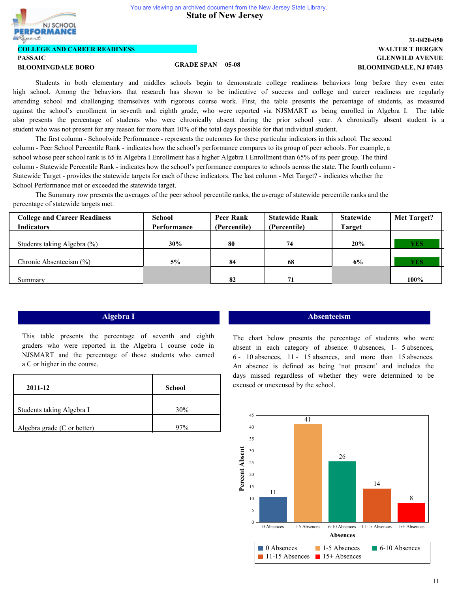**State of New Jersey** 

![](_page_25_Picture_2.jpeg)

### **COLLEGE AND CAREER READINESS**

# **PASSAIC**

## **BLOOMINGDALE BORO GRADE SPAN 05-08**

# **GLENWILD AVENUE WALTER T BERGEN 31-0420-050 BLOOMINGDALE, NJ 07403**

Students in both elementary and middles schools begin to demonstrate college readiness behaviors long before they even enter high school. Among the behaviors that research has shown to be indicative of success and college and career readiness are regularly attending school and challenging themselves with rigorous course work. First, the table presents the percentage of students, as measured against the school's enrollment in seventh and eighth grade, who were reported via NJSMART as being enrolled in Algebra I. The table also presents the percentage of students who were chronically absent during the prior school year. A chronically absent student is a student who was not present for any reason for more than 10% of the total days possible for that individual student.

The first column - Schoolwide Performance - represents the outcomes for these particular indicators in this school. The second column - Peer School Percentile Rank - indicates how the school's performance compares to its group of peer schools. For example, a school whose peer school rank is 65 in Algebra I Enrollment has a higher Algebra I Enrollment than 65% of its peer group. The third column - Statewide Percentile Rank - indicates how the school's performance compares to schools across the state. The fourth column - Statewide Target - provides the statewide targets for each of these indicators. The last column - Met Target? - indicates whether the School Performance met or exceeded the statewide target.

The Summary row presents the averages of the peer school percentile ranks, the average of statewide percentile ranks and the percentage of statewide targets met.

| <b>College and Career Readiness</b> | School      | <b>Peer Rank</b> | <b>Statewide Rank</b> | <b>Statewide</b> | <b>Met Target?</b> |
|-------------------------------------|-------------|------------------|-----------------------|------------------|--------------------|
| <b>Indicators</b>                   | Performance | (Percentile)     | (Percentile)          | <b>Target</b>    |                    |
|                                     |             |                  |                       |                  |                    |
| Students taking Algebra (%)         | 30%         | 80               | 74                    | 20%              | <b>YES</b>         |
|                                     |             |                  |                       |                  |                    |
| Chronic Absenteeism $(\% )$         | 5%          | 84               | 68                    | 6%               | <b>YES</b>         |
|                                     |             |                  |                       |                  |                    |
| Summary                             |             | 82               | 71                    |                  | 100%               |

This table presents the percentage of seventh and eighth graders who were reported in the Algebra I course code in NJSMART and the percentage of those students who earned a C or higher in the course.

| 2011-12                     | <b>School</b> |
|-----------------------------|---------------|
| Students taking Algebra I   | 30%           |
| Algebra grade (C or better) | Q70/          |

### **Algebra I Absenteeism**

The chart below presents the percentage of students who were absent in each category of absence: 0 absences, 1- 5 absences, 6 - 10 absences, 11 - 15 absences, and more than 15 absences. An absence is defined as being 'not present' and includes the days missed regardless of whether they were determined to be excused or unexcused by the school.

![](_page_25_Figure_16.jpeg)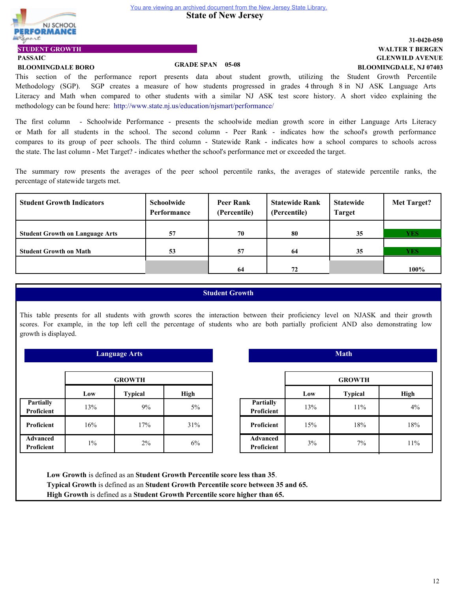**State of New Jersey** 

![](_page_26_Picture_2.jpeg)

### **GLENWILD AVENUE WALTER T BERGEN 31-0420-050 BLOOMINGDALE, NJ 07403**

**PASSAIC**

**STUDENT GROWTH**

# **BLOOMINGDALE BORO GRADE SPAN 05-08**

This section of the performance report presents data about student growth, utilizing the Student Growth Percentile Methodology (SGP). SGP creates a measure of how students progressed in grades 4 through 8 in NJ ASK Language Arts Literacy and Math when compared to other students with a similar NJ ASK test score history. A short video explaining the methodology can be found here: http://www.state.nj.us/education/njsmart/performance/

The first column - Schoolwide Performance - presents the schoolwide median growth score in either Language Arts Literacy or Math for all students in the school. The second column - Peer Rank - indicates how the school's growth performance compares to its group of peer schools. The third column - Statewide Rank - indicates how a school compares to schools across the state. The last column - Met Target? - indicates whether the school's performance met or exceeded the target.

The summary row presents the averages of the peer school percentile ranks, the averages of statewide percentile ranks, the percentage of statewide targets met.

| <b>Student Growth Indicators</b>       | <b>Schoolwide</b><br>Performance | <b>Peer Rank</b><br>(Percentile) | <b>Statewide Rank</b><br>(Percentile) | <b>Statewide</b><br><b>Target</b> | Met Target? |
|----------------------------------------|----------------------------------|----------------------------------|---------------------------------------|-----------------------------------|-------------|
|                                        |                                  |                                  |                                       |                                   |             |
| <b>Student Growth on Language Arts</b> | 57                               | 70                               | 80                                    | 35                                | <b>YES</b>  |
|                                        |                                  |                                  |                                       |                                   |             |
| <b>Student Growth on Math</b>          | 53                               | 57                               | 64                                    | 35                                | <b>YES</b>  |
|                                        |                                  |                                  |                                       |                                   |             |
|                                        |                                  | 64                               | 72                                    |                                   | 100%        |

# **Student Growth**

This table presents for all students with growth scores the interaction between their proficiency level on NJASK and their growth scores. For example, in the top left cell the percentage of students who are both partially proficient AND also demonstrating low growth is displayed.

|                                      | <b>Language Arts</b> |       |     |  |  |
|--------------------------------------|----------------------|-------|-----|--|--|
| <b>GROWTH</b>                        |                      |       |     |  |  |
| <b>Typical</b><br>High<br>Low        |                      |       |     |  |  |
| <b>Partially</b><br>Proficient       | 13%                  | 9%    | 5%  |  |  |
| <b>Proficient</b>                    | 16%                  | 17%   | 31% |  |  |
| <b>Advanced</b><br><b>Proficient</b> | $1\%$                | $2\%$ | 6%  |  |  |

|                                | <b>Math</b> |                |             |  |  |
|--------------------------------|-------------|----------------|-------------|--|--|
|                                |             | <b>GROWTH</b>  |             |  |  |
|                                | Low         | <b>Typical</b> | <b>High</b> |  |  |
| <b>Partially</b><br>Proficient | 13%         | 11%            | 4%          |  |  |
| Proficient                     | 15%         | 18%            | 18%         |  |  |
| <b>Advanced</b><br>Proficient  | 3%          | $7\%$          | 11%         |  |  |

**Low Growth** is defined as an **Student Growth Percentile score less than 35**. **Typical Growth** is defined as an **Student Growth Percentile score between 35 and 65. High Growth** is defined as a **Student Growth Percentile score higher than 65.**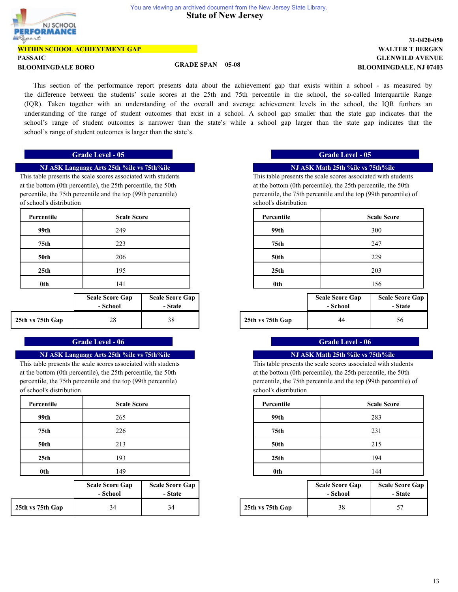![](_page_27_Picture_2.jpeg)

#### **WITHIN SCHOOL ACHIEVEMENT GAP**

#### **PASSAIC**

# **BLOOMINGDALE BORO GRADE SPAN 05-08**

## **GLENWILD AVENUE WALTER T BERGEN 31-0420-050 BLOOMINGDALE, NJ 07403**

This section of the performance report presents data about the achievement gap that exists within a school - as measured by the difference between the students' scale scores at the 25th and 75th percentile in the school, the so-called Interquartile Range (IQR). Taken together with an understanding of the overall and average achievement levels in the school, the IQR furthers an understanding of the range of student outcomes that exist in a school. A school gap smaller than the state gap indicates that the school's range of student outcomes is narrower than the state's while a school gap larger than the state gap indicates that the school's range of student outcomes is larger than the state's.

#### **NJ ASK Language Arts 25th %ile vs 75th%ile**

This table presents the scale scores associated with students at the bottom (0th percentile), the 25th percentile, the 50th percentile, the 75th percentile and the top (99th percentile) of school's distribution

| Percentile       | <b>Scale Score</b> |
|------------------|--------------------|
| 99th             | 249                |
| 75th             | 223                |
| <b>50th</b>      | 206                |
| 25 <sub>th</sub> | 195                |
| 0 <sub>th</sub>  | 141                |
|                  |                    |

|                  | <b>Scale Score Gap</b><br>- School | <b>Scale Score Gap</b><br>- State |                  | <b>Scale Score Gap</b><br>- School | <b>Scale Sco</b><br>- St: |
|------------------|------------------------------------|-----------------------------------|------------------|------------------------------------|---------------------------|
| 25th vs 75th Gap | 28                                 | 38                                | 25th vs 75th Gap | 44                                 | 56                        |

# **Grade Level - 06 Grade Level - 06 Grade Level - 06**

#### **NJ ASK Language Arts 25th %ile vs 75th%ile**

This table presents the scale scores associated with students at the bottom (0th percentile), the 25th percentile, the 50th percentile, the 75th percentile and the top (99th percentile) of school's distribution

| Percentile       | <b>Scale Score</b> |
|------------------|--------------------|
| 99th             | 265                |
| 75 <sub>th</sub> | 226                |
| <b>50th</b>      | 213                |
| 25 <sub>th</sub> | 193                |
| 0th              | 149                |

|                  | <b>Scale Score Gap</b><br>- School | <b>Scale Score Gap</b><br>- State |                  | <b>Scale Score Gap</b><br>- School | <b>Scale Sco</b><br>- St: |
|------------------|------------------------------------|-----------------------------------|------------------|------------------------------------|---------------------------|
| 25th vs 75th Gap | 34                                 | 34                                | 25th vs 75th Gap | 38                                 | 57                        |

# **Grade Level - 05 Grade Level - 05**

### **NJ ASK Math 25th %ile vs 75th%ile**

This table presents the scale scores associated with students at the bottom (0th percentile), the 25th percentile, the 50th percentile, the 75th percentile and the top (99th percentile) of school's distribution

| <b>Scale Score</b> | Percentile       | <b>Scale Score</b> |
|--------------------|------------------|--------------------|
| 249                | 99th             | 300                |
| 223                | 75th             | 247                |
| 206                | <b>50th</b>      | 229                |
| 195                | 25 <sub>th</sub> | 203                |
| 141                | 0th              | 156                |

| core Gap<br>:hool | <b>Scale Score Gap</b><br>- State |                  | <b>Scale Score Gap</b><br>- School | <b>Scale Score Gap</b><br>- State |
|-------------------|-----------------------------------|------------------|------------------------------------|-----------------------------------|
| 28                | 38                                | 25th vs 75th Gap | 44                                 | 56                                |

# **NJ ASK Math 25th %ile vs 75th%ile**

This table presents the scale scores associated with students at the bottom (0th percentile), the 25th percentile, the 50th percentile, the 75th percentile and the top (99th percentile) of school's distribution

| <b>Scale Score</b> | Percentile       | <b>Scale Score</b> |
|--------------------|------------------|--------------------|
| 265                | 99th             | 283                |
| 226                | 75th             | 231                |
| 213                | <b>50th</b>      | 215                |
| 193                | 25 <sub>th</sub> | 194                |
| 149                | 0th              | 144                |

| core Gap<br>:hool | <b>Scale Score Gap</b><br>- State |                  | <b>Scale Score Gap</b><br>- School | <b>Scale Score Gap</b><br>- State |
|-------------------|-----------------------------------|------------------|------------------------------------|-----------------------------------|
| 34                | 34                                | 25th vs 75th Gap | 38                                 |                                   |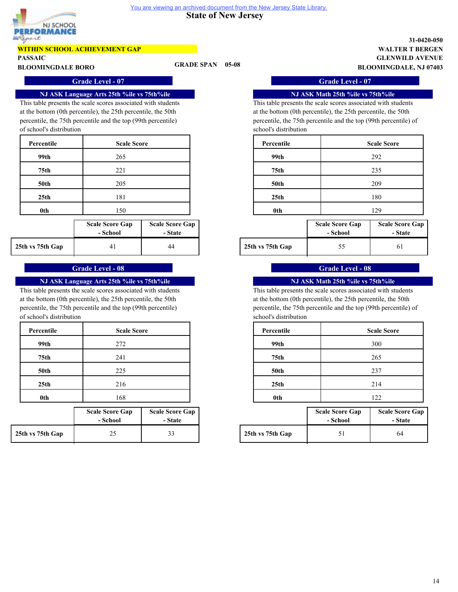![](_page_28_Picture_1.jpeg)

# **WITHIN SCHOOL ACHIEVEMENT GAP**

**PASSAIC**

**BLOOMINGDALE BORO GRADE SPAN 05-08**

# **GLENWILD AVENUE WALTER T BERGEN 31-0420-050 BLOOMINGDALE, NJ 07403**

### **Grade Level - 07 Grade Level - 07**

#### **NJ ASK Language Arts 25th %ile vs 75th%ile**

This table presents the scale scores associated with students at the bottom (0th percentile), the 25th percentile, the 50th percentile, the 75th percentile and the top (99th percentile) of school's distribution

| Percentile       | <b>Scale Score</b> |
|------------------|--------------------|
| 99th             | 265                |
| 75 <sub>th</sub> | 221                |
| <b>50th</b>      | 205                |
| 25 <sub>th</sub> | 181                |
| 0th              | 150                |

|                  | <b>Scale Score Gap</b><br>- School | <b>Scale Score Gap</b><br>- State |                  | <b>Scale Score Gap</b><br>- School | <b>Scale Sco</b><br>- St: |
|------------------|------------------------------------|-----------------------------------|------------------|------------------------------------|---------------------------|
| 25th vs 75th Gap |                                    | 44                                | 25th vs 75th Gap | ◡                                  | 61                        |

# **Grade Level - 08 Grade Level - 08**

# **NJ ASK Language Arts 25th %ile vs 75th%ile**

This table presents the scale scores associated with students at the bottom (0th percentile), the 25th percentile, the 50th percentile, the 75th percentile and the top (99th percentile) of school's distribution

| Percentile       | <b>Scale Score</b> |
|------------------|--------------------|
| 99th             | 272                |
| 75 <sub>th</sub> | 241                |
| 50th             | 225                |
| 25 <sub>th</sub> | 216                |
| 0th              | 168                |

|                  | <b>Scale Score Gap</b><br>- School | <b>Scale Score Gap</b><br>- State |                  | <b>Scale Score Gap</b><br>- School | <b>Scale Sco</b><br>- St: |
|------------------|------------------------------------|-----------------------------------|------------------|------------------------------------|---------------------------|
| 25th vs 75th Gap | ل کے                               | າາ<br>33                          | 25th vs 75th Gap |                                    | 64                        |

#### **NJ ASK Math 25th %ile vs 75th%ile**

This table presents the scale scores associated with students at the bottom (0th percentile), the 25th percentile, the 50th percentile, the 75th percentile and the top (99th percentile) of school's distribution

| <b>Scale Score</b> | Percentile       | <b>Scale Score</b> |
|--------------------|------------------|--------------------|
| 265                | 99th             | 292                |
| 221                | 75th             | 235                |
| 205                | <b>50th</b>      | 209                |
| 181                | 25 <sub>th</sub> | 180                |
| 150                | 0th              | 129                |

| core Gap | <b>Scale Score Gap</b> |                  | <b>Scale Score Gap</b> | <b>Scale Score Gap</b> |
|----------|------------------------|------------------|------------------------|------------------------|
| :hool    | - State                |                  | - School               | - State                |
| 41       | 44                     | 25th vs 75th Gap |                        |                        |

## **NJ ASK Math 25th %ile vs 75th%ile**

This table presents the scale scores associated with students at the bottom (0th percentile), the 25th percentile, the 50th percentile, the 75th percentile and the top (99th percentile) of school's distribution

| <b>Scale Score</b> | Percentile       | <b>Scale Score</b> |
|--------------------|------------------|--------------------|
| 272                | 99th             | 300                |
| 241                | 75th             | 265                |
| 225                | <b>50th</b>      | 237                |
| 216                | 25 <sub>th</sub> | 214                |
| 168                | 0th              | 122                |

| core Gap<br>:hool | <b>Scale Score Gap</b><br>- State |                  | <b>Scale Score Gap</b><br>- School | <b>Scale Score Gap</b><br>- State |
|-------------------|-----------------------------------|------------------|------------------------------------|-----------------------------------|
| 25                |                                   | 25th vs 75th Gap |                                    | 64                                |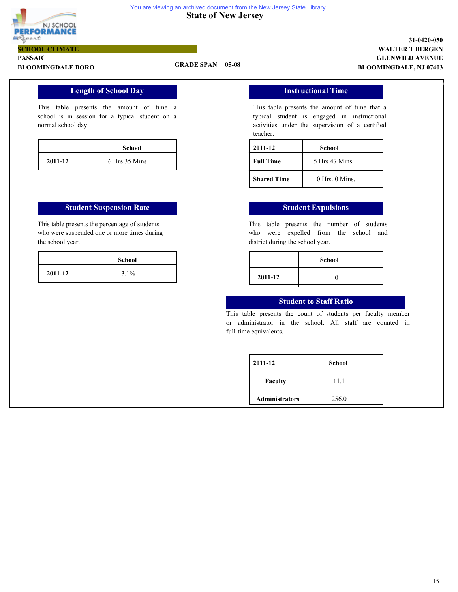![](_page_29_Picture_0.jpeg)

#### **State of New Jersey**  You are viewing an archived document from the New Jersey State Library.

# **PASSAIC SCHOOL CLIMATE**

# **BLOOMINGDALE BORO GRADE SPAN 05-08**

# **GLENWILD AVENUE WALTER T BERGEN 31-0420-050 BLOOMINGDALE, NJ 07403**

7

# **Length of School Day**

This table presents the amount of time a school is in session for a typical student on a normal school day.

|         | School        |
|---------|---------------|
| 2011-12 | 6 Hrs 35 Mins |

#### **Student Suspension Rate Student Expulsions**

This table presents the percentage of students who were suspended one or more times during the school year.

#### **Instructional Time**

This table presents the amount of time that a typical student is engaged in instructional activities under the supervision of a certified teacher.

| 2011-12            | School             |  |
|--------------------|--------------------|--|
| <b>Full Time</b>   | 5 Hrs 47 Mins.     |  |
| <b>Shared Time</b> | $0$ Hrs. $0$ Mins. |  |

This table presents the number of students who were expelled from the school and district during the school year.

| School  |         | <b>School</b> |
|---------|---------|---------------|
| $3.1\%$ | 2011-12 |               |
|         |         |               |

### **Student to Staff Ratio**

This table presents the count of students per faculty member or administrator in the school. All staff are counted in full-time equivalents.

| 2011-12               | School |  |
|-----------------------|--------|--|
| <b>Faculty</b>        | 11.1   |  |
| <b>Administrators</b> | 256.0  |  |